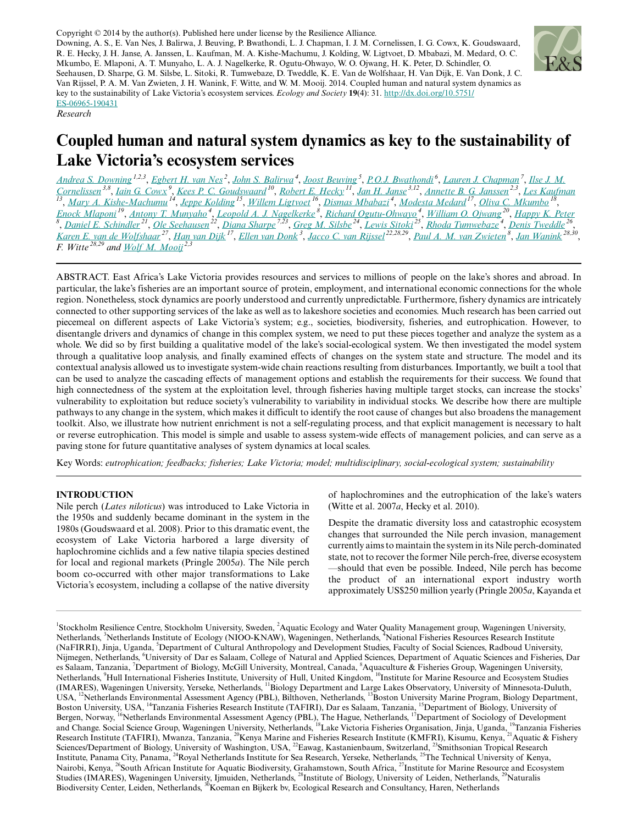Copyright © 2014 by the author(s). Published here under license by the Resilience Alliance. Downing, A. S., E. Van Nes, J. Balirwa, J. Beuving, P. Bwathondi, L. J. Chapman, I. J. M. Cornelissen, I. G. Cowx, K. Goudswaard, R. E. Hecky, J. H. Janse, A. Janssen, L. Kaufman, M. A. Kishe-Machumu, J. Kolding, W. Ligtvoet, D. Mbabazi, M. Medard, O. C. Mkumbo, E. Mlaponi, A. T. Munyaho, L. A. J. Nagelkerke, R. Ogutu-Ohwayo, W. O. Ojwang, H. K. Peter, D. Schindler, O. Seehausen, D. Sharpe, G. M. Silsbe, L. Sitoki, R. Tumwebaze, D. Tweddle, K. E. Van de Wolfshaar, H. Van Dijk, E. Van Donk, J. C. Van Rijssel, P. A. M. Van Zwieten, J. H. Wanink, F. Witte, and W. M. Mooij. 2014. Coupled human and natural system dynamics as key to the sustainability of Lake Victoria's ecosystem services. *Ecology and Society* **19**(4): 31. [http://dx.doi.org/10.5751/](http://dx.doi.org/10.5751/ES-06965-190431) [ES-06965-190431](http://dx.doi.org/10.5751/ES-06965-190431)



*Research*

# **Coupled human and natural system dynamics as key to the sustainability of Lake Victoria's ecosystem services**

[Andrea S. Downing](mailto:andrea.downing@su.se) <sup>1,2,3</sup>, [Egbert H. van Nes](mailto:Egbert.vannes@wur.nl)<sup>2</sup>, [John S. Balirwa](mailto:jbalirwa@yahoo.com)<sup>4</sup>, [Joost Beuving](mailto:joostbeuving@gmail.com)<sup>5</sup>, [P.O.J. Bwathondi](mailto:bwathondi@yahoo.co.uk)<sup>6</sup>, [Lauren J. Chapman](mailto:lauren.chapman@mcgill.ca)<sup>7</sup>, [Ilse J. M.](mailto:ilsecornelissen@hotmail.com) [Cornelissen](mailto:ilsecornelissen@hotmail.com)<sup>3,8</sup>, <u>[Iain G. Cowx](mailto:I.G.Cowx@hull.ac.uk)<sup>9</sup>, [Kees P. C. Goudswaard](mailto:kees.goudswaard@wur.nl) <sup>10</sup>, [Robert E. Hecky](mailto:rehecky@gmail.com) <sup>11</sup>, [Jan H. Janse](mailto:JH.Janse@rivm.nl)<sup>3,12</sup>, [Annette B. G. Janssen](mailto:A.Janssen@nioo.knaw.nl)<sup>2,3</sup>, [Les Kaufman](mailto:lesk@bu.edu)<br><sup>13</sup>, <u>[Mary A. Kishe-Machumu](mailto:mkishe@yahoo.com) <sup>14</sup>, [Jeppe Kolding](mailto:jeppe.kolding@bio.uib.no) <sup>15</sup>, [Willem Ligtvoet](mailto:Willem.Ligtvoet@pbl.nl) <sup>16</sup>,</u></u> [Enock Mlaponi](mailto:emlaponi@yahoo.com)<sup>19</sup>, <u>[Antony T. Munyaho](mailto:ataabum@yahoo.com)<sup>4</sup>, [Leopold A. J. Nagelkerke](mailto:leo.nagelkerke@wur.nl)<sup>8</sup>, [Richard Ogutu-Ohwayo](mailto:ogutuohwayo@yahoo.com)<sup>4</sup>, [William O. Ojwang](mailto:w_ojwang@yahoo.com)<sup>20</sup>, [Happy K. Peter](mailto:Happy.Peter@wur.nl)<br><sup>8</sup>, [Daniel E. Schindler](mailto:deschind@uw.edu)<sup>21</sup>, [Ole Seehausen](mailto:Ole.Seehausen@eawag.ch)<sup>22</sup>, [Diana Sharpe](mailto:diana.sharpe@gmail.com)<sup>7,23</sup>, [Greg M. Silsbe](mailto:Greg.Silsbe@nioz.nl)<sup>24</sup>,</u> <u>[Karen E. van de Wolfshaar](mailto:karen.vandewolfshaar@wur.nl)<sup>27</sup>, [Han van Dijk](mailto:han.vandijk@wur.nl) <sup>17</sup>, [Ellen van Donk](mailto:E.vandonk@nioo.knaw.nl) <sup>3</sup>, [Jacco C. van Rijssel](mailto:j.c.van.rijssel@biology.leidenuniv.nl) <sup>22,28,29</sup>, <u>[Paul A. M. van Zwieten](mailto:paul.vanzwieten@wur.nl) <sup>8</sup>, [Jan Wanink](mailto:j.h.wanink@koemanenbijkerk.nl) <sup>28,30</sup>,</u></u>  $\overline{F}$ *F. Witte*<sup>28,29</sup> **and** [Wolf M. Mooij](mailto:w.mooij@nioo.knaw.nl)<sup>2,3</sup>

ABSTRACT. East Africa's Lake Victoria provides resources and services to millions of people on the lake's shores and abroad. In particular, the lake's fisheries are an important source of protein, employment, and international economic connections for the whole region. Nonetheless, stock dynamics are poorly understood and currently unpredictable. Furthermore, fishery dynamics are intricately connected to other supporting services of the lake as well as to lakeshore societies and economies. Much research has been carried out piecemeal on different aspects of Lake Victoria's system; e.g., societies, biodiversity, fisheries, and eutrophication. However, to disentangle drivers and dynamics of change in this complex system, we need to put these pieces together and analyze the system as a whole. We did so by first building a qualitative model of the lake's social-ecological system. We then investigated the model system through a qualitative loop analysis, and finally examined effects of changes on the system state and structure. The model and its contextual analysis allowed us to investigate system-wide chain reactions resulting from disturbances. Importantly, we built a tool that can be used to analyze the cascading effects of management options and establish the requirements for their success. We found that high connectedness of the system at the exploitation level, through fisheries having multiple target stocks, can increase the stocks' vulnerability to exploitation but reduce society's vulnerability to variability in individual stocks. We describe how there are multiple pathways to any change in the system, which makes it difficult to identify the root cause of changes but also broadens the management toolkit. Also, we illustrate how nutrient enrichment is not a self-regulating process, and that explicit management is necessary to halt or reverse eutrophication. This model is simple and usable to assess system-wide effects of management policies, and can serve as a paving stone for future quantitative analyses of system dynamics at local scales.

Key Words: *eutrophication; feedbacks; fisheries; Lake Victoria; model; multidisciplinary, social-ecological system; sustainability*

# **INTRODUCTION**

Nile perch (*Lates niloticus*) was introduced to Lake Victoria in the 1950s and suddenly became dominant in the system in the 1980s (Goudswaard et al. 2008). Prior to this dramatic event, the ecosystem of Lake Victoria harbored a large diversity of haplochromine cichlids and a few native tilapia species destined for local and regional markets (Pringle 2005*a*). The Nile perch boom co-occurred with other major transformations to Lake Victoria's ecosystem, including a collapse of the native diversity of haplochromines and the eutrophication of the lake's waters (Witte et al. 2007*a*, Hecky et al. 2010).

Despite the dramatic diversity loss and catastrophic ecosystem changes that surrounded the Nile perch invasion, management currently aims to maintain the system in its Nile perch-dominated state, not to recover the former Nile perch-free, diverse ecosystem —should that even be possible. Indeed, Nile perch has become the product of an international export industry worth approximately US\$250 million yearly (Pringle 2005*a*, Kayanda et

<sup>1</sup>Stockholm Resilience Centre, Stockholm University, Sweden, <sup>2</sup>Aquatic Ecology and Water Quality Management group, Wageningen University, Netherlands, <sup>3</sup>Netherlands Institute of Ecology (NIOO-KNAW), Wageningen, Netherlands, <sup>4</sup>National Fisheries Resources Research Institute (NaFIRRI), Jinja, Uganda, <sup>5</sup>Department of Cultural Anthropology and Development Studies, Faculty of Social Sciences, Radboud University, Nijmegen, Netherlands, <sup>6</sup>University of Dar es Salaam, College of Natural and Applied Sciences, Department of Aquatic Sciences and Fisheries, Dar es Salaam, Tanzania, <sup>7</sup>Department of Biology, McGill University, Montreal, Canada, <sup>8</sup>Aquaculture & Fisheries Group, Wageningen University, Netherlands, <sup>9</sup>Hull International Fisheries Institute, University of Hull, United Kingdom, <sup>10</sup>Institute for Marine Resource and Ecosystem Studies (IMARES), Wageningen University, Yerseke, Netherlands, <sup>11</sup>Biology Department and Large Lakes Observatory, University of Minnesota-Duluth, USA, <sup>12</sup>Netherlands Environmental Assessment Agency (PBL), Bilthoven, Netherlands, <sup>13</sup>Boston University Marine Program, Biology Department, Boston University, USA, <sup>14</sup>Tanzania Fisheries Research Institute (TAFIRI), Dar es Salaam, Tanzania, <sup>15</sup>Department of Biology, University of Bergen, Norway, <sup>16</sup>Netherlands Environmental Assessment Agency (PBL), The Hague, Netherlands, <sup>17</sup>Department of Sociology of Development and Change. Social Science Group, Wageningen University, Netherlands, <sup>18</sup>Lake Victoria Fisheries Organisation, Jinja, Uganda, <sup>19</sup>Tanzania Fisheries Research Institute (TAFIRI), Mwanza, Tanzania, <sup>20</sup>Kenya Marine and Fisheries Research Institute (KMFRI), Kisumu, Kenya, <sup>21</sup>Aquatic & Fishery Sciences/Department of Biology, University of Washington, USA, <sup>22</sup>Eawag, Kastanienbaum, Switzerland, <sup>23</sup>Smithsonian Tropical Research Institute, Panama City, Panama, <sup>24</sup>Royal Netherlands Institute for Sea Research, Yerseke, Netherlands, <sup>25</sup>The Technical University of Kenya, Nairobi, Kenya, <sup>26</sup>South African Institute for Aquatic Biodiversity, Grahamstown, South Africa, <sup>27</sup>Institute for Marine Resource and Ecosystem Studies (IMARES), Wageningen University, Ijmuiden, Netherlands, <sup>28</sup>Institute of Biology, University of Leiden, Netherlands, <sup>29</sup>Naturalis Biodiversity Center, Leiden, Netherlands, <sup>30</sup>Koeman en Bijkerk bv, Ecological Research and Consultancy, Haren, Netherlands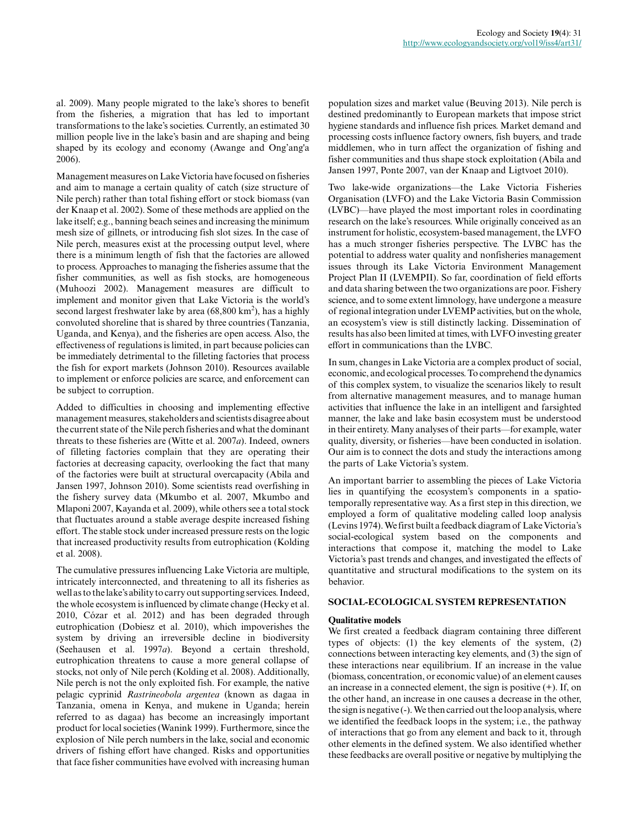al. 2009). Many people migrated to the lake's shores to benefit from the fisheries, a migration that has led to important transformations to the lake's societies. Currently, an estimated 30 million people live in the lake's basin and are shaping and being shaped by its ecology and economy (Awange and Ong'ang'a 2006).

Management measures on Lake Victoria have focused on fisheries and aim to manage a certain quality of catch (size structure of Nile perch) rather than total fishing effort or stock biomass (van der Knaap et al. 2002). Some of these methods are applied on the lake itself; e.g., banning beach seines and increasing the minimum mesh size of gillnets, or introducing fish slot sizes. In the case of Nile perch, measures exist at the processing output level, where there is a minimum length of fish that the factories are allowed to process. Approaches to managing the fisheries assume that the fisher communities, as well as fish stocks, are homogeneous (Muhoozi 2002). Management measures are difficult to implement and monitor given that Lake Victoria is the world's second largest freshwater lake by area  $(68,800 \text{ km}^2)$ , has a highly convoluted shoreline that is shared by three countries (Tanzania, Uganda, and Kenya), and the fisheries are open access. Also, the effectiveness of regulations is limited, in part because policies can be immediately detrimental to the filleting factories that process the fish for export markets (Johnson 2010). Resources available to implement or enforce policies are scarce, and enforcement can be subject to corruption.

Added to difficulties in choosing and implementing effective management measures, stakeholders and scientists disagree about the current state of the Nile perch fisheries and what the dominant threats to these fisheries are (Witte et al. 2007*a*). Indeed, owners of filleting factories complain that they are operating their factories at decreasing capacity, overlooking the fact that many of the factories were built at structural overcapacity (Abila and Jansen 1997, Johnson 2010). Some scientists read overfishing in the fishery survey data (Mkumbo et al. 2007, Mkumbo and Mlaponi 2007, Kayanda et al. 2009), while others see a total stock that fluctuates around a stable average despite increased fishing effort. The stable stock under increased pressure rests on the logic that increased productivity results from eutrophication (Kolding et al. 2008).

The cumulative pressures influencing Lake Victoria are multiple, intricately interconnected, and threatening to all its fisheries as well as to the lake's ability to carry out supporting services. Indeed, the whole ecosystem is influenced by climate change (Hecky et al. 2010, Cózar et al. 2012) and has been degraded through eutrophication (Dobiesz et al. 2010), which impoverishes the system by driving an irreversible decline in biodiversity (Seehausen et al. 1997*a*). Beyond a certain threshold, eutrophication threatens to cause a more general collapse of stocks, not only of Nile perch (Kolding et al. 2008). Additionally, Nile perch is not the only exploited fish. For example, the native pelagic cyprinid *Rastrineobola argentea* (known as dagaa in Tanzania, omena in Kenya, and mukene in Uganda; herein referred to as dagaa) has become an increasingly important product for local societies (Wanink 1999). Furthermore, since the explosion of Nile perch numbers in the lake, social and economic drivers of fishing effort have changed. Risks and opportunities that face fisher communities have evolved with increasing human population sizes and market value (Beuving 2013). Nile perch is destined predominantly to European markets that impose strict hygiene standards and influence fish prices. Market demand and processing costs influence factory owners, fish buyers, and trade middlemen, who in turn affect the organization of fishing and fisher communities and thus shape stock exploitation (Abila and Jansen 1997, Ponte 2007, van der Knaap and Ligtvoet 2010).

Two lake-wide organizations—the Lake Victoria Fisheries Organisation (LVFO) and the Lake Victoria Basin Commission (LVBC)—have played the most important roles in coordinating research on the lake's resources. While originally conceived as an instrument for holistic, ecosystem-based management, the LVFO has a much stronger fisheries perspective. The LVBC has the potential to address water quality and nonfisheries management issues through its Lake Victoria Environment Management Project Plan II (LVEMPII). So far, coordination of field efforts and data sharing between the two organizations are poor. Fishery science, and to some extent limnology, have undergone a measure of regional integration under LVEMP activities, but on the whole, an ecosystem's view is still distinctly lacking. Dissemination of results has also been limited at times, with LVFO investing greater effort in communications than the LVBC.

In sum, changes in Lake Victoria are a complex product of social, economic, and ecological processes. To comprehend the dynamics of this complex system, to visualize the scenarios likely to result from alternative management measures, and to manage human activities that influence the lake in an intelligent and farsighted manner, the lake and lake basin ecosystem must be understood in their entirety. Many analyses of their parts—for example, water quality, diversity, or fisheries—have been conducted in isolation. Our aim is to connect the dots and study the interactions among the parts of Lake Victoria's system.

An important barrier to assembling the pieces of Lake Victoria lies in quantifying the ecosystem's components in a spatiotemporally representative way. As a first step in this direction, we employed a form of qualitative modeling called loop analysis (Levins 1974). We first built a feedback diagram of Lake Victoria's social-ecological system based on the components and interactions that compose it, matching the model to Lake Victoria's past trends and changes, and investigated the effects of quantitative and structural modifications to the system on its behavior.

#### **SOCIAL-ECOLOGICAL SYSTEM REPRESENTATION**

# **Qualitative models**

We first created a feedback diagram containing three different types of objects: (1) the key elements of the system, (2) connections between interacting key elements, and (3) the sign of these interactions near equilibrium. If an increase in the value (biomass, concentration, or economic value) of an element causes an increase in a connected element, the sign is positive (+). If, on the other hand, an increase in one causes a decrease in the other, the sign is negative (-). We then carried out the loop analysis, where we identified the feedback loops in the system; i.e., the pathway of interactions that go from any element and back to it, through other elements in the defined system. We also identified whether these feedbacks are overall positive or negative by multiplying the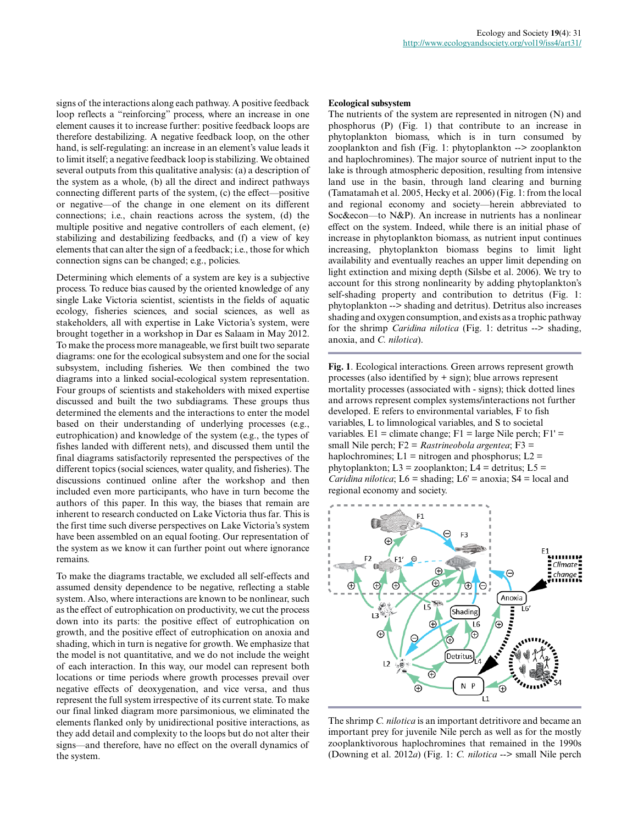signs of the interactions along each pathway. A positive feedback loop reflects a "reinforcing" process, where an increase in one element causes it to increase further: positive feedback loops are therefore destabilizing. A negative feedback loop, on the other hand, is self-regulating: an increase in an element's value leads it to limit itself; a negative feedback loop is stabilizing. We obtained several outputs from this qualitative analysis: (a) a description of the system as a whole, (b) all the direct and indirect pathways connecting different parts of the system, (c) the effect—positive or negative—of the change in one element on its different connections; i.e., chain reactions across the system, (d) the multiple positive and negative controllers of each element, (e) stabilizing and destabilizing feedbacks, and (f) a view of key elements that can alter the sign of a feedback; i.e., those for which connection signs can be changed; e.g., policies.

Determining which elements of a system are key is a subjective process. To reduce bias caused by the oriented knowledge of any single Lake Victoria scientist, scientists in the fields of aquatic ecology, fisheries sciences, and social sciences, as well as stakeholders, all with expertise in Lake Victoria's system, were brought together in a workshop in Dar es Salaam in May 2012. To make the process more manageable, we first built two separate diagrams: one for the ecological subsystem and one for the social subsystem, including fisheries. We then combined the two diagrams into a linked social-ecological system representation. Four groups of scientists and stakeholders with mixed expertise discussed and built the two subdiagrams. These groups thus determined the elements and the interactions to enter the model based on their understanding of underlying processes (e.g., eutrophication) and knowledge of the system (e.g., the types of fishes landed with different nets), and discussed them until the final diagrams satisfactorily represented the perspectives of the different topics (social sciences, water quality, and fisheries). The discussions continued online after the workshop and then included even more participants, who have in turn become the authors of this paper. In this way, the biases that remain are inherent to research conducted on Lake Victoria thus far. This is the first time such diverse perspectives on Lake Victoria's system have been assembled on an equal footing. Our representation of the system as we know it can further point out where ignorance remains.

To make the diagrams tractable, we excluded all self-effects and assumed density dependence to be negative, reflecting a stable system. Also, where interactions are known to be nonlinear, such as the effect of eutrophication on productivity, we cut the process down into its parts: the positive effect of eutrophication on growth, and the positive effect of eutrophication on anoxia and shading, which in turn is negative for growth. We emphasize that the model is not quantitative, and we do not include the weight of each interaction. In this way, our model can represent both locations or time periods where growth processes prevail over negative effects of deoxygenation, and vice versa, and thus represent the full system irrespective of its current state. To make our final linked diagram more parsimonious, we eliminated the elements flanked only by unidirectional positive interactions, as they add detail and complexity to the loops but do not alter their signs—and therefore, have no effect on the overall dynamics of the system.

#### **Ecological subsystem**

The nutrients of the system are represented in nitrogen (N) and phosphorus (P) (Fig. 1) that contribute to an increase in phytoplankton biomass, which is in turn consumed by zooplankton and fish (Fig. 1: phytoplankton --> zooplankton and haplochromines). The major source of nutrient input to the lake is through atmospheric deposition, resulting from intensive land use in the basin, through land clearing and burning (Tamatamah et al. 2005, Hecky et al. 2006) (Fig. 1: from the local and regional economy and society—herein abbreviated to Soc&econ—to N&P). An increase in nutrients has a nonlinear effect on the system. Indeed, while there is an initial phase of increase in phytoplankton biomass, as nutrient input continues increasing, phytoplankton biomass begins to limit light availability and eventually reaches an upper limit depending on light extinction and mixing depth (Silsbe et al. 2006). We try to account for this strong nonlinearity by adding phytoplankton's self-shading property and contribution to detritus (Fig. 1: phytoplankton --> shading and detritus). Detritus also increases shading and oxygen consumption, and exists as a trophic pathway for the shrimp *Caridina nilotica* (Fig. 1: detritus --> shading, anoxia, and *C. nilotica*).

**Fig. 1**. Ecological interactions. Green arrows represent growth processes (also identified by + sign); blue arrows represent mortality processes (associated with - signs); thick dotted lines and arrows represent complex systems/interactions not further developed. E refers to environmental variables, F to fish variables, L to limnological variables, and S to societal variables.  $E1 =$  climate change;  $F1 =$  large Nile perch;  $F1' =$ small Nile perch; F2 = *Rastrineobola argentea*; F3 = haplochromines;  $L1 =$  nitrogen and phosphorus;  $L2 =$ phytoplankton;  $L3 = z$ ooplankton;  $L4 =$  detritus;  $L5 =$ *Caridina nilotica*;  $L6 =$  shading;  $L6' =$  anoxia;  $S4 =$  local and regional economy and society.



The shrimp *C. nilotica* is an important detritivore and became an important prey for juvenile Nile perch as well as for the mostly zooplanktivorous haplochromines that remained in the 1990s (Downing et al. 2012*a*) (Fig. 1: *C. nilotica* --> small Nile perch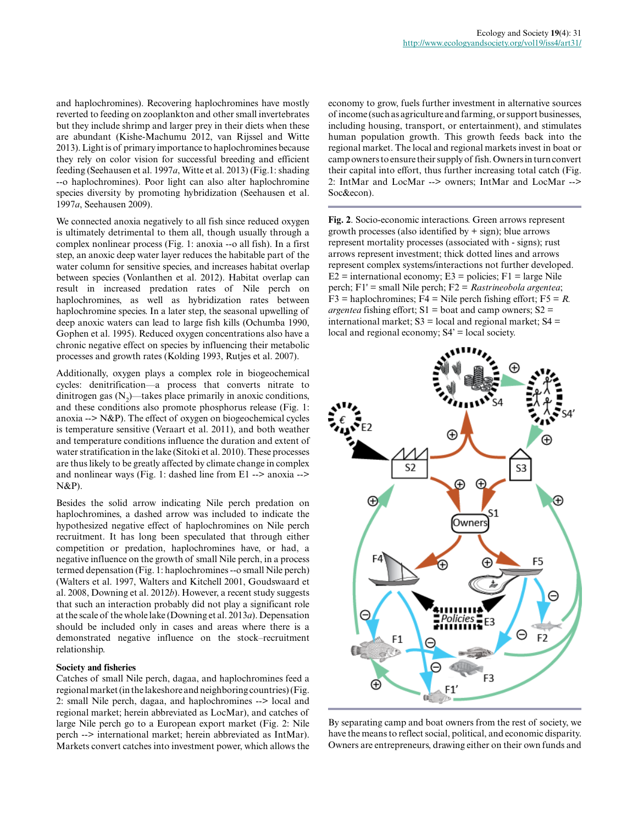and haplochromines). Recovering haplochromines have mostly reverted to feeding on zooplankton and other small invertebrates but they include shrimp and larger prey in their diets when these are abundant (Kishe-Machumu 2012, van Rijssel and Witte 2013). Light is of primary importance to haplochromines because they rely on color vision for successful breeding and efficient feeding (Seehausen et al. 1997*a*, Witte et al. 2013) (Fig.1: shading --o haplochromines). Poor light can also alter haplochromine species diversity by promoting hybridization (Seehausen et al. 1997*a*, Seehausen 2009).

We connected anoxia negatively to all fish since reduced oxygen is ultimately detrimental to them all, though usually through a complex nonlinear process (Fig. 1: anoxia --o all fish). In a first step, an anoxic deep water layer reduces the habitable part of the water column for sensitive species, and increases habitat overlap between species (Vonlanthen et al. 2012). Habitat overlap can result in increased predation rates of Nile perch on haplochromines, as well as hybridization rates between haplochromine species. In a later step, the seasonal upwelling of deep anoxic waters can lead to large fish kills (Ochumba 1990, Gophen et al. 1995). Reduced oxygen concentrations also have a chronic negative effect on species by influencing their metabolic processes and growth rates (Kolding 1993, Rutjes et al. 2007).

Additionally, oxygen plays a complex role in biogeochemical cycles: denitrification—a process that converts nitrate to dinitrogen gas  $(N_2)$ —takes place primarily in anoxic conditions, and these conditions also promote phosphorus release (Fig. 1: anoxia  $\rightarrow$  N&P). The effect of oxygen on biogeochemical cycles is temperature sensitive (Veraart et al. 2011), and both weather and temperature conditions influence the duration and extent of water stratification in the lake (Sitoki et al. 2010). These processes are thus likely to be greatly affected by climate change in complex and nonlinear ways (Fig. 1: dashed line from E1 --> anoxia --> N&P).

Besides the solid arrow indicating Nile perch predation on haplochromines, a dashed arrow was included to indicate the hypothesized negative effect of haplochromines on Nile perch recruitment. It has long been speculated that through either competition or predation, haplochromines have, or had, a negative influence on the growth of small Nile perch, in a process termed depensation (Fig. 1: haplochromines --o small Nile perch) (Walters et al. 1997, Walters and Kitchell 2001, Goudswaard et al. 2008, Downing et al. 2012*b*). However, a recent study suggests that such an interaction probably did not play a significant role at the scale of the whole lake (Downing et al. 2013*a*). Depensation should be included only in cases and areas where there is a demonstrated negative influence on the stock–recruitment relationship.

## **Society and fisheries**

Catches of small Nile perch, dagaa, and haplochromines feed a regional market (in the lakeshore and neighboring countries) (Fig. 2: small Nile perch, dagaa, and haplochromines --> local and regional market; herein abbreviated as LocMar), and catches of large Nile perch go to a European export market (Fig. 2: Nile perch --> international market; herein abbreviated as IntMar). Markets convert catches into investment power, which allows the economy to grow, fuels further investment in alternative sources of income (such as agriculture and farming, or support businesses, including housing, transport, or entertainment), and stimulates human population growth. This growth feeds back into the regional market. The local and regional markets invest in boat or camp owners to ensure their supply of fish. Owners in turn convert their capital into effort, thus further increasing total catch (Fig. 2: IntMar and LocMar --> owners; IntMar and LocMar --> Soc&econ).

**Fig. 2**. Socio-economic interactions. Green arrows represent growth processes (also identified by  $+$  sign); blue arrows represent mortality processes (associated with - signs); rust arrows represent investment; thick dotted lines and arrows represent complex systems/interactions not further developed.  $E2$  = international economy;  $E3$  = policies;  $F1$  = large Nile perch; F1' = small Nile perch; F2 = *Rastrineobola argentea*;  $F3$  = haplochromines;  $F4$  = Nile perch fishing effort;  $F5 = R$ . *argentea* fishing effort;  $S1 =$  boat and camp owners;  $S2 =$ international market;  $S3 = local$  and regional market;  $S4 =$ local and regional economy;  $S4' =$ local society.



By separating camp and boat owners from the rest of society, we have the means to reflect social, political, and economic disparity. Owners are entrepreneurs, drawing either on their own funds and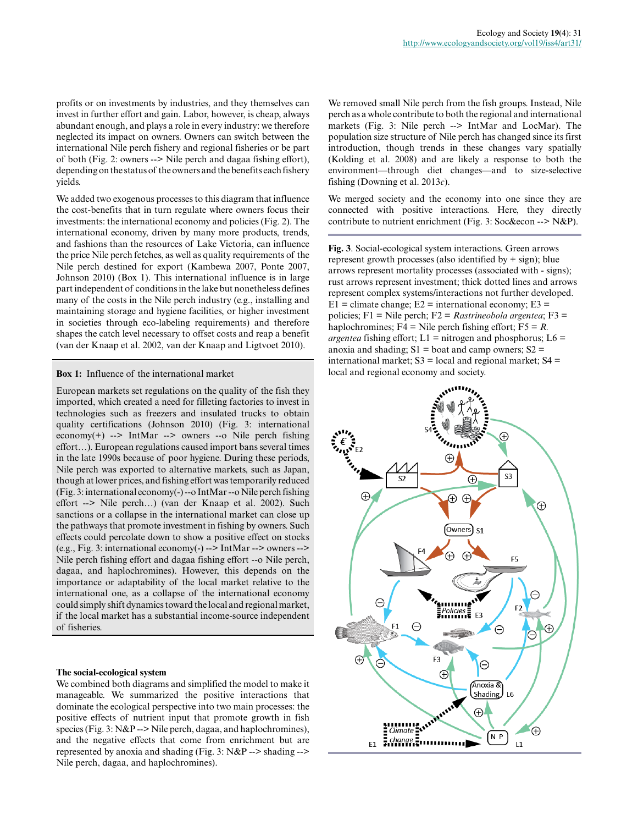profits or on investments by industries, and they themselves can invest in further effort and gain. Labor, however, is cheap, always abundant enough, and plays a role in every industry: we therefore neglected its impact on owners. Owners can switch between the international Nile perch fishery and regional fisheries or be part of both (Fig. 2: owners --> Nile perch and dagaa fishing effort), depending on the status of the owners and the benefits each fishery yields.

We added two exogenous processes to this diagram that influence the cost-benefits that in turn regulate where owners focus their investments: the international economy and policies (Fig. 2). The international economy, driven by many more products, trends, and fashions than the resources of Lake Victoria, can influence the price Nile perch fetches, as well as quality requirements of the Nile perch destined for export (Kambewa 2007, Ponte 2007, Johnson 2010) (Box 1). This international influence is in large part independent of conditions in the lake but nonetheless defines many of the costs in the Nile perch industry (e.g., installing and maintaining storage and hygiene facilities, or higher investment in societies through eco-labeling requirements) and therefore shapes the catch level necessary to offset costs and reap a benefit (van der Knaap et al. 2002, van der Knaap and Ligtvoet 2010).

#### **Box 1:** Influence of the international market

European markets set regulations on the quality of the fish they imported, which created a need for filleting factories to invest in technologies such as freezers and insulated trucks to obtain quality certifications (Johnson 2010) (Fig. 3: international economy $(+)$  --> IntMar --> owners --o Nile perch fishing effort…). European regulations caused import bans several times in the late 1990s because of poor hygiene. During these periods, Nile perch was exported to alternative markets, such as Japan, though at lower prices, and fishing effort was temporarily reduced (Fig. 3: international economy(-) --o IntMar --o Nile perch fishing effort --> Nile perch…) (van der Knaap et al. 2002). Such sanctions or a collapse in the international market can close up the pathways that promote investment in fishing by owners. Such effects could percolate down to show a positive effect on stocks (e.g., Fig. 3: international economy(-) --> IntMar --> owners --> Nile perch fishing effort and dagaa fishing effort --o Nile perch, dagaa, and haplochromines). However, this depends on the importance or adaptability of the local market relative to the international one, as a collapse of the international economy could simply shift dynamics toward the local and regional market, if the local market has a substantial income-source independent of fisheries.

#### **The social-ecological system**

We combined both diagrams and simplified the model to make it manageable. We summarized the positive interactions that dominate the ecological perspective into two main processes: the positive effects of nutrient input that promote growth in fish species (Fig. 3: N&P --> Nile perch, dagaa, and haplochromines), and the negative effects that come from enrichment but are represented by anoxia and shading (Fig. 3: N&P --> shading --> Nile perch, dagaa, and haplochromines).

We removed small Nile perch from the fish groups. Instead, Nile perch as a whole contribute to both the regional and international markets (Fig. 3: Nile perch --> IntMar and LocMar). The population size structure of Nile perch has changed since its first introduction, though trends in these changes vary spatially (Kolding et al. 2008) and are likely a response to both the environment—through diet changes—and to size-selective fishing (Downing et al. 2013*c*).

We merged society and the economy into one since they are connected with positive interactions. Here, they directly contribute to nutrient enrichment (Fig. 3: Soc&econ --> N&P).

**Fig. 3**. Social-ecological system interactions. Green arrows represent growth processes (also identified by  $+$  sign); blue arrows represent mortality processes (associated with - signs); rust arrows represent investment; thick dotted lines and arrows represent complex systems/interactions not further developed.  $E1 =$  climate change;  $E2 =$  international economy;  $E3 =$ policies; F1 = Nile perch; F2 = *Rastrineobola argentea*; F3 = haplochromines;  $F4 =$  Nile perch fishing effort;  $F5 = R$ . *argentea* fishing effort;  $L1 =$  nitrogen and phosphorus;  $L6 =$ anoxia and shading;  $S1 =$  boat and camp owners;  $S2 =$ international market;  $S3 = local$  and regional market;  $S4 =$ local and regional economy and society.

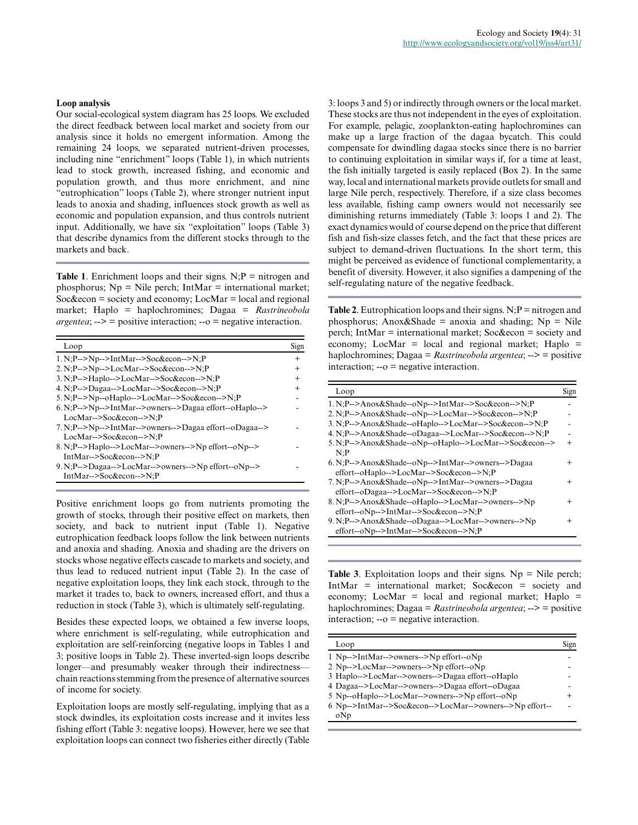Our social-ecological system diagram has 25 loops. We excluded the direct feedback between local market and society from our analysis since it holds no emergent information. Among the remaining 24 loops, we separated nutrient-driven processes, including nine "enrichment" loops (Table 1), in which nutrients lead to stock growth, increased fishing, and economic and population growth, and thus more enrichment, and nine "eutrophication" loops (Table 2), where stronger nutrient input leads to anoxia and shading, influences stock growth as well as economic and population expansion, and thus controls nutrient input. Additionally, we have six "exploitation" loops (Table 3) that describe dynamics from the different stocks through to the markets and back.

**Table 1.** Enrichment loops and their signs.  $N; P =$  nitrogen and phosphorus;  $Np =$  Nile perch; IntMar = international market; Soc&econ = society and economy; LocMar = local and regional market; Haplo = haplochromines; Dagaa = *Rastrineobola argentea*; --> = positive interaction; --o = negative interaction.

| Loop                                                                                | Sign           |
|-------------------------------------------------------------------------------------|----------------|
| $1. N: P \rightarrow Np \rightarrow IntMar \rightarrow Soc\& econ \rightarrow N: P$ | $^{+}$         |
| 2. N;P-->Np-->LocMar-->Soc&econ-->N;P                                               | $\overline{+}$ |
| 3. N;P-->Haplo-->LocMar-->Soc&econ-->N;P                                            | $^{+}$         |
| 4. N:P-->Dagaa-->LocMar-->Soc&econ-->N:P                                            | $\div$         |
| 5. N;P-->Np--oHaplo-->LocMar-->Soc&econ-->N;P                                       |                |
| 6. N:P-->Np-->IntMar-->owners-->Dagaa effort--oHaplo-->                             |                |
| LocMar-->Soc&econ-->N:P                                                             |                |
| 7. N:P-->Np-->IntMar-->owners-->Dagaa effort--oDagaa-->                             |                |
| LocMar-->Soc&econ-->N:P                                                             |                |
| 8. N:P-->Haplo-->LocMar-->owners-->Np effort--oNp-->                                |                |
| IntMar-->Soc&econ-->N:P                                                             |                |
| 9. N;P-->Dagaa-->LocMar-->owners-->Np effort--oNp-->                                |                |
| IntMar-->Soc&econ-->N:P                                                             |                |

Positive enrichment loops go from nutrients promoting the growth of stocks, through their positive effect on markets, then society, and back to nutrient input (Table 1). Negative eutrophication feedback loops follow the link between nutrients and anoxia and shading. Anoxia and shading are the drivers on stocks whose negative effects cascade to markets and society, and thus lead to reduced nutrient input (Table 2). In the case of negative exploitation loops, they link each stock, through to the market it trades to, back to owners, increased effort, and thus a reduction in stock (Table 3), which is ultimately self-regulating.

Besides these expected loops, we obtained a few inverse loops, where enrichment is self-regulating, while eutrophication and exploitation are self-reinforcing (negative loops in Tables 1 and 3; positive loops in Table 2). These inverted-sign loops describe longer—and presumably weaker through their indirectness chain reactions stemming from the presence of alternative sources of income for society.

Exploitation loops are mostly self-regulating, implying that as a stock dwindles, its exploitation costs increase and it invites less fishing effort (Table 3: negative loops). However, here we see that exploitation loops can connect two fisheries either directly (Table

3: loops 3 and 5) or indirectly through owners or the local market. These stocks are thus not independent in the eyes of exploitation. For example, pelagic, zooplankton-eating haplochromines can make up a large fraction of the dagaa bycatch. This could compensate for dwindling dagaa stocks since there is no barrier to continuing exploitation in similar ways if, for a time at least, the fish initially targeted is easily replaced (Box 2). In the same way, local and international markets provide outlets for small and large Nile perch, respectively. Therefore, if a size class becomes less available, fishing camp owners would not necessarily see diminishing returns immediately (Table 3: loops 1 and 2). The exact dynamics would of course depend on the price that different fish and fish-size classes fetch, and the fact that these prices are subject to demand-driven fluctuations. In the short term, this might be perceived as evidence of functional complementarity, a benefit of diversity. However, it also signifies a dampening of the self-regulating nature of the negative feedback.

**Table 2.** Eutrophication loops and their signs.  $N; P =$  nitrogen and phosphorus; Anox&Shade = anoxia and shading;  $Np = Nile$ perch; IntMar = international market; Soc&econ = society and economy; LocMar = local and regional market; Haplo = haplochromines; Dagaa = *Rastrineobola argentea*; --> = positive interaction; --o = negative interaction.

| Loop                                                    | Sign   |
|---------------------------------------------------------|--------|
| 1. N:P-->Anox&Shade--oNp-->IntMar-->Soc&econ-->N:P      |        |
| 2. N:P-->Anox&Shade--oNp-->LocMar-->Soc&econ-->N:P      |        |
| 3. N;P-->Anox&Shade--oHaplo-->LocMar-->Soc&econ-->N;P   |        |
| 4. N:P-->Anox&Shade--oDagaa-->LocMar-->Soc&econ-->N:P   |        |
| 5. N;P-->Anox&Shade--oNp--oHaplo-->LocMar-->Soc&econ--> | $\div$ |
| N:P                                                     |        |
| 6. N;P-->Anox&Shade--oNp-->IntMar-->owners-->Dagaa      | $^+$   |
| effort--oHaplo-->LocMar-->Soc&econ-->N;P                |        |
| 7. N;P-->Anox&Shade--oNp-->IntMar-->owners-->Dagaa      | $\div$ |
| effort--oDagaa-->LocMar-->Soc&econ-->N:P                |        |
| 8. N;P-->Anox&Shade--oHaplo-->LocMar-->owners-->Np      | $\div$ |
| effort--oNp-->IntMar-->Soc&econ-->N;P                   |        |
| 9. N:P-->Anox&Shade--oDagaa-->LocMar-->owners-->Np      | $\div$ |
| effort--oNp-->IntMar-->Soc&econ-->N;P                   |        |

**Table 3.** Exploitation loops and their signs.  $Np =$  Nile perch; IntMar = international market; Soc&econ = society and economy; LocMar = local and regional market; Haplo = haplochromines; Dagaa = *Rastrineobola argentea*; --> = positive interaction; --o = negative interaction.

| Loop                                                     | Sign |
|----------------------------------------------------------|------|
| 1 Np-->IntMar-->owners-->Np effort--oNp                  |      |
| 2 Np-->LocMar-->owners-->Np effort--oNp                  |      |
| 3 Haplo-->LocMar-->owners-->Dagaa effort--oHaplo         |      |
| 4 Dagaa-->LocMar-->owners-->Dagaa effort--oDagaa         |      |
| 5 Np--oHaplo-->LocMar-->owners-->Np effort--oNp          | $^+$ |
| 6 Np-->IntMar-->Soc&econ-->LocMar-->owners-->Np effort-- |      |
| oNp                                                      |      |
|                                                          |      |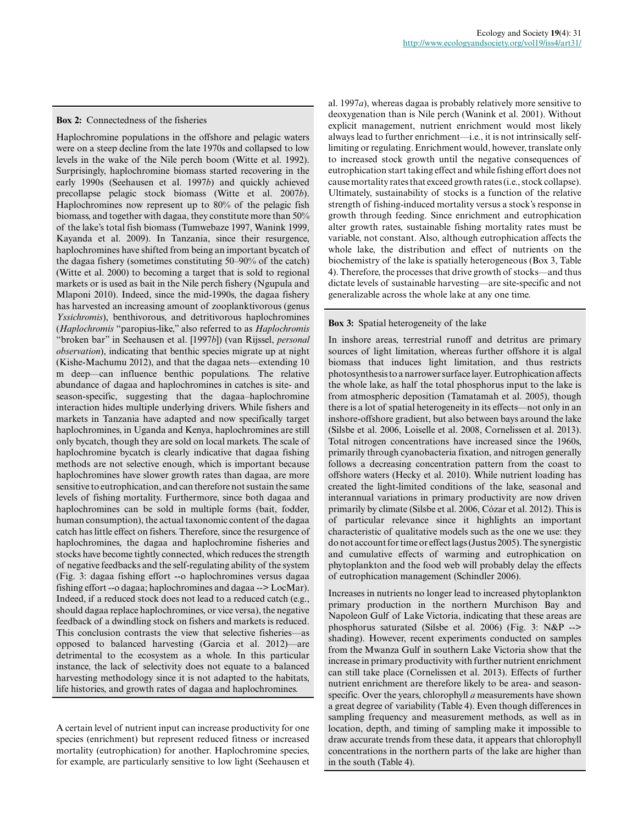Haplochromine populations in the offshore and pelagic waters were on a steep decline from the late 1970s and collapsed to low levels in the wake of the Nile perch boom (Witte et al. 1992). Surprisingly, haplochromine biomass started recovering in the early 1990s (Seehausen et al. 1997*b*) and quickly achieved precollapse pelagic stock biomass (Witte et al. 2007*b*). Haplochromines now represent up to 80% of the pelagic fish biomass, and together with dagaa, they constitute more than 50% of the lake's total fish biomass (Tumwebaze 1997, Wanink 1999, Kayanda et al. 2009). In Tanzania, since their resurgence, haplochromines have shifted from being an important bycatch of the dagaa fishery (sometimes constituting 50–90% of the catch) (Witte et al. 2000) to becoming a target that is sold to regional markets or is used as bait in the Nile perch fishery (Ngupula and Mlaponi 2010). Indeed, since the mid-1990s, the dagaa fishery has harvested an increasing amount of zooplanktivorous (genus *Yssichromis*), benthivorous, and detritivorous haplochromines (*Haplochromis* "paropius-like," also referred to as *Haplochromis* "broken bar" in Seehausen et al. [1997*b*]) (van Rijssel, *personal observation*), indicating that benthic species migrate up at night (Kishe-Machumu 2012), and that the dagaa nets—extending 10 m deep—can influence benthic populations. The relative abundance of dagaa and haplochromines in catches is site- and season-specific, suggesting that the dagaa–haplochromine interaction hides multiple underlying drivers. While fishers and markets in Tanzania have adapted and now specifically target haplochromines, in Uganda and Kenya, haplochromines are still only bycatch, though they are sold on local markets. The scale of haplochromine bycatch is clearly indicative that dagaa fishing methods are not selective enough, which is important because haplochromines have slower growth rates than dagaa, are more sensitive to eutrophication, and can therefore not sustain the same levels of fishing mortality. Furthermore, since both dagaa and haplochromines can be sold in multiple forms (bait, fodder, human consumption), the actual taxonomic content of the dagaa catch has little effect on fishers. Therefore, since the resurgence of haplochromines, the dagaa and haplochromine fisheries and stocks have become tightly connected, which reduces the strength of negative feedbacks and the self-regulating ability of the system (Fig. 3: dagaa fishing effort --o haplochromines versus dagaa fishing effort --o dagaa; haplochromines and dagaa --> LocMar). Indeed, if a reduced stock does not lead to a reduced catch (e.g., should dagaa replace haplochromines, or vice versa), the negative feedback of a dwindling stock on fishers and markets is reduced. This conclusion contrasts the view that selective fisheries—as opposed to balanced harvesting (Garcia et al. 2012)—are detrimental to the ecosystem as a whole. In this particular instance, the lack of selectivity does not equate to a balanced harvesting methodology since it is not adapted to the habitats, life histories, and growth rates of dagaa and haplochromines.

A certain level of nutrient input can increase productivity for one species (enrichment) but represent reduced fitness or increased mortality (eutrophication) for another. Haplochromine species, for example, are particularly sensitive to low light (Seehausen et

al. 1997*a*), whereas dagaa is probably relatively more sensitive to deoxygenation than is Nile perch (Wanink et al. 2001). Without explicit management, nutrient enrichment would most likely always lead to further enrichment—i.e., it is not intrinsically selflimiting or regulating. Enrichment would, however, translate only to increased stock growth until the negative consequences of eutrophication start taking effect and while fishing effort does not cause mortality rates that exceed growth rates (i.e., stock collapse). Ultimately, sustainability of stocks is a function of the relative strength of fishing-induced mortality versus a stock's response in growth through feeding. Since enrichment and eutrophication alter growth rates, sustainable fishing mortality rates must be variable, not constant. Also, although eutrophication affects the whole lake, the distribution and effect of nutrients on the biochemistry of the lake is spatially heterogeneous (Box 3, Table 4). Therefore, the processes that drive growth of stocks—and thus dictate levels of sustainable harvesting—are site-specific and not generalizable across the whole lake at any one time.

### **Box 3:** Spatial heterogeneity of the lake

In inshore areas, terrestrial runoff and detritus are primary sources of light limitation, whereas further offshore it is algal biomass that induces light limitation, and thus restricts photosynthesis to a narrower surface layer. Eutrophication affects the whole lake, as half the total phosphorus input to the lake is from atmospheric deposition (Tamatamah et al. 2005), though there is a lot of spatial heterogeneity in its effects—not only in an inshore-offshore gradient, but also between bays around the lake (Silsbe et al. 2006, Loiselle et al. 2008, Cornelissen et al. 2013). Total nitrogen concentrations have increased since the 1960s, primarily through cyanobacteria fixation, and nitrogen generally follows a decreasing concentration pattern from the coast to offshore waters (Hecky et al. 2010). While nutrient loading has created the light-limited conditions of the lake, seasonal and interannual variations in primary productivity are now driven primarily by climate (Silsbe et al. 2006, Cózar et al. 2012). This is of particular relevance since it highlights an important characteristic of qualitative models such as the one we use: they do not account for time or effect lags (Justus 2005). The synergistic and cumulative effects of warming and eutrophication on phytoplankton and the food web will probably delay the effects of eutrophication management (Schindler 2006).

Increases in nutrients no longer lead to increased phytoplankton primary production in the northern Murchison Bay and Napoleon Gulf of Lake Victoria, indicating that these areas are phosphorus saturated (Silsbe et al. 2006) (Fig. 3: N&P --> shading). However, recent experiments conducted on samples from the Mwanza Gulf in southern Lake Victoria show that the increase in primary productivity with further nutrient enrichment can still take place (Cornelissen et al. 2013). Effects of further nutrient enrichment are therefore likely to be area- and seasonspecific. Over the years, chlorophyll *a* measurements have shown a great degree of variability (Table 4). Even though differences in sampling frequency and measurement methods, as well as in location, depth, and timing of sampling make it impossible to draw accurate trends from these data, it appears that chlorophyll concentrations in the northern parts of the lake are higher than in the south (Table 4).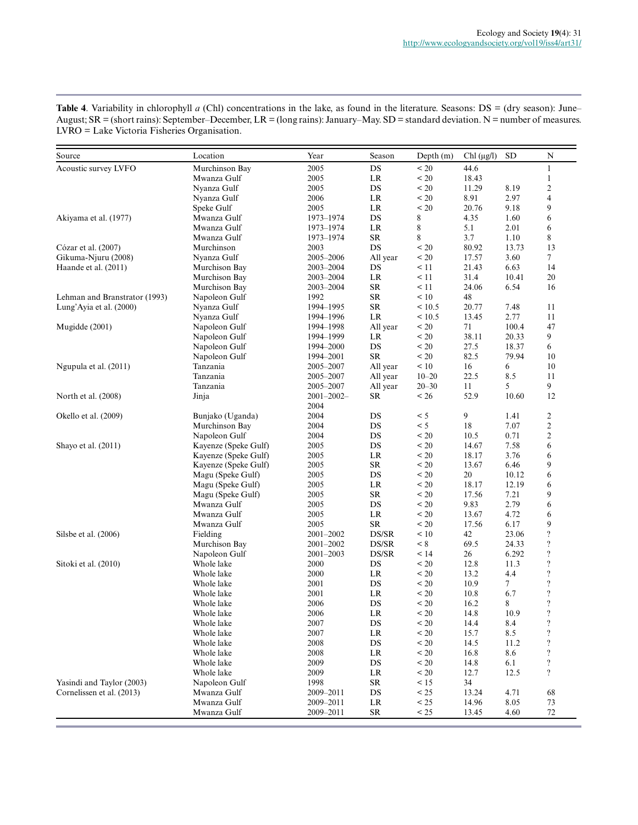| Source                        | Location                                     | Year                    | Season      | Depth $(m)$  | Chl $(\mu g/l)$ | <b>SD</b> | $\mathbf N$             |
|-------------------------------|----------------------------------------------|-------------------------|-------------|--------------|-----------------|-----------|-------------------------|
| Acoustic survey LVFO          | Murchinson Bay                               | 2005                    | $_{\rm DS}$ | < 20         | 44.6            |           | $\mathbf{1}$            |
|                               | Mwanza Gulf                                  | 2005                    | LR          | < 20         | 18.43           |           | $\mathbf{1}$            |
|                               | Nyanza Gulf                                  | 2005                    | DS          | < 20         | 11.29           | 8.19      | $\sqrt{2}$              |
|                               | Nyanza Gulf                                  | 2006                    | $\rm LR$    | < 20         | 8.91            | 2.97      | 4                       |
|                               | Speke Gulf                                   | 2005                    | $\rm LR$    | < 20         | 20.76           | 9.18      | 9                       |
| Akiyama et al. (1977)         | Mwanza Gulf                                  | 1973-1974               | DS          | 8            | 4.35            | 1.60      | 6                       |
|                               | Mwanza Gulf                                  | 1973-1974               | LR          | 8            | 5.1             | 2.01      | 6                       |
|                               | Mwanza Gulf                                  | 1973-1974               | SR          | 8            | 3.7             | 1.10      | 8                       |
| Cózar et al. (2007)           | Murchinson                                   | 2003                    | DS          | < 20         | 80.92           | 13.73     | 13                      |
| Gikuma-Njuru (2008)           | Nyanza Gulf                                  | 2005–2006               | All year    | < 20         | 17.57           | 3.60      | $\tau$                  |
| Haande et al. (2011)          | Murchison Bay                                | 2003-2004               | DS          | $\leq$ 11    | 21.43           | 6.63      | 14                      |
|                               | Murchison Bay                                | 2003-2004               | LR          | < 11         | 31.4            | 10.41     | 20                      |
|                               | Murchison Bay                                | 2003-2004               | <b>SR</b>   | < 11         | 24.06           | 6.54      | 16                      |
| Lehman and Branstrator (1993) | Napoleon Gulf                                | 1992                    | <b>SR</b>   | < 10         | 48              |           |                         |
| Lung'Ayia et al. (2000)       | Nyanza Gulf                                  | 1994-1995               | SR          | < 10.5       | 20.77           | 7.48      | 11                      |
|                               | Nyanza Gulf                                  | 1994-1996               | LR          | < 10.5       | 13.45           | 2.77      | 11                      |
| Mugidde (2001)                | Napoleon Gulf                                | 1994-1998               | All year    | < 20         | 71              | 100.4     | 47                      |
|                               | Napoleon Gulf                                | 1994-1999               | LR          | < 20         | 38.11           | 20.33     | 9                       |
|                               | Napoleon Gulf                                | 1994-2000               | DS          | < 20         | 27.5            | 18.37     | 6                       |
|                               | Napoleon Gulf                                | 1994-2001               | SR          | < 20         | 82.5            | 79.94     | 10                      |
| Ngupula et al. (2011)         | Tanzania                                     | 2005–2007               | All year    | < 10         | 16              | 6         | 10                      |
|                               | Tanzania                                     | 2005–2007               | All year    | $10 - 20$    | 22.5            | 8.5       | 11                      |
|                               | Tanzania                                     |                         |             | $20 - 30$    | 11              | 5         | 9                       |
|                               |                                              | 2005–2007               | All year    |              |                 |           | 12                      |
| North et al. (2008)           | Jinja                                        | $2001 - 2002 -$<br>2004 | <b>SR</b>   | < 26         | 52.9            | 10.60     |                         |
| Okello et al. (2009)          | Bunjako (Uganda)                             | 2004                    | DS          | < 5          | 9               | 1.41      | $\overline{2}$          |
|                               | Murchinson Bay                               | 2004                    | DS          | < 5          | 18              | 7.07      | $\sqrt{2}$              |
|                               | Napoleon Gulf                                | 2004                    | DS          | < 20         | 10.5            | 0.71      | $\sqrt{2}$              |
| Shayo et al. (2011)           | Kayenze (Speke Gulf)                         | 2005                    | $_{\rm DS}$ | < 20         | 14.67           | 7.58      | 6                       |
|                               |                                              | 2005                    | LR          | < 20         | 18.17           | 3.76      | 6                       |
|                               | Kayenze (Speke Gulf)<br>Kayenze (Speke Gulf) | 2005                    | ${\sf SR}$  | < 20         | 13.67           | 6.46      | 9                       |
|                               | Magu (Speke Gulf)                            | 2005                    | DS          | < 20         | 20              | 10.12     | 6                       |
|                               |                                              | 2005                    | LR          | < 20         | 18.17           | 12.19     | 6                       |
|                               | Magu (Speke Gulf)                            | 2005                    | SR          | < 20         | 17.56           | 7.21      | 9                       |
|                               | Magu (Speke Gulf)<br>Mwanza Gulf             | 2005                    | DS          | < 20         | 9.83            | 2.79      | 6                       |
|                               |                                              |                         | <b>LR</b>   |              |                 |           |                         |
|                               | Mwanza Gulf                                  | 2005                    | <b>SR</b>   | < 20<br>< 20 | 13.67           | 4.72      | 6                       |
|                               | Mwanza Gulf                                  | 2005                    |             |              | 17.56           | 6.17      | 9                       |
| Silsbe et al. (2006)          | Fielding                                     | 2001-2002               | DS/SR       | < 10         | 42              | 23.06     | $\cdot$                 |
|                               | Murchison Bay                                | 2001-2002               | DS/SR       | < 8          | 69.5            | 24.33     | $\ddot{?}$              |
|                               | Napoleon Gulf                                | 2001-2003               | DS/SR       | < 14         | 26              | 6.292     | $\overline{\mathbf{?}}$ |
| Sitoki et al. (2010)          | Whole lake                                   | 2000                    | DS          | < 20         | 12.8            | 11.3      | $\, ?$                  |
|                               | Whole lake                                   | 2000                    | LR          | < 20         | 13.2            | 4.4       | $\, ?$                  |
|                               | Whole lake                                   | 2001                    | DS          | < 20         | 10.9            | 7         | $\cdot$                 |
|                               | Whole lake                                   | 2001                    | LR          | < 20         | 10.8            | 6.7       | $\cdot$                 |
|                               | Whole lake                                   | 2006                    | DS          | < 20         | 16.2            | 8         | $\overline{?}$          |
|                               | Whole lake                                   | 2006                    | $\rm LR$    | $\leq 20$    | 14.8            | 10.9      | $\ddot{.}$              |
|                               | Whole lake                                   | 2007                    | DS          | $\leq 20$    | 14.4            | 8.4       | $\ddot{?}$              |
|                               | Whole lake                                   | 2007                    | LR          | $\leq 20$    | 15.7            | 8.5       | $\boldsymbol{?}$        |
|                               | Whole lake                                   | 2008                    | DS          | $\leq 20$    | 14.5            | 11.2      | $\overline{\mathbf{?}}$ |
|                               | Whole lake                                   | 2008                    | LR          | $\leq 20$    | 16.8            | 8.6       | $\overline{\mathbf{?}}$ |
|                               | Whole lake                                   | 2009                    | DS          | $\leq 20$    | 14.8            | 6.1       | $\ddot{?}$              |
|                               | Whole lake                                   | 2009                    | LR.         | $\leq 20$    | 12.7            | 12.5      | $\ddot{?}$              |
| Yasindi and Taylor (2003)     | Napoleon Gulf                                | 1998                    | ${\rm SR}$  | $\leq 15$    | 34              |           |                         |
| Cornelissen et al. (2013)     | Mwanza Gulf                                  | 2009-2011               | DS          | $\leq$ 25    | 13.24           | 4.71      | 68                      |
|                               | Mwanza Gulf                                  | 2009–2011               | LR          | $\leq$ 25    | 14.96           | 8.05      | 73                      |
|                               | Mwanza Gulf                                  | 2009-2011               | <b>SR</b>   | < 25         | 13.45           | 4.60      | 72                      |

Table 4. Variability in chlorophyll *a* (Chl) concentrations in the lake, as found in the literature. Seasons: DS = (dry season): June– August; SR = (short rains): September–December, LR = (long rains): January–May. SD = standard deviation. N = number of measures. LVRO = Lake Victoria Fisheries Organisation.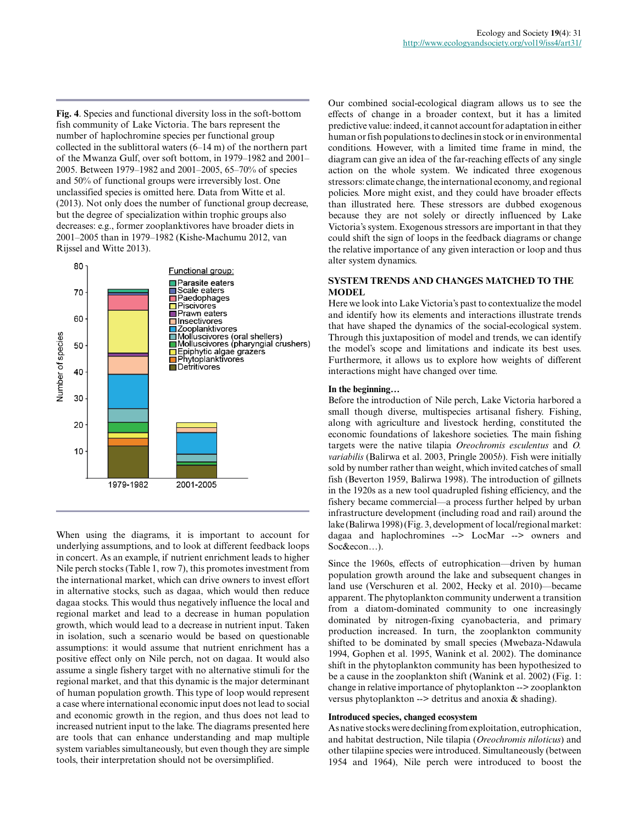**Fig. 4**. Species and functional diversity loss in the soft-bottom fish community of Lake Victoria. The bars represent the number of haplochromine species per functional group collected in the sublittoral waters (6–14 m) of the northern part of the Mwanza Gulf, over soft bottom, in 1979–1982 and 2001– 2005. Between 1979–1982 and 2001–2005, 65–70% of species and 50% of functional groups were irreversibly lost. One unclassified species is omitted here. Data from Witte et al. (2013). Not only does the number of functional group decrease, but the degree of specialization within trophic groups also decreases: e.g., former zooplanktivores have broader diets in 2001–2005 than in 1979–1982 (Kishe-Machumu 2012, van Rijssel and Witte 2013).



When using the diagrams, it is important to account for underlying assumptions, and to look at different feedback loops in concert. As an example, if nutrient enrichment leads to higher Nile perch stocks (Table 1, row 7), this promotes investment from the international market, which can drive owners to invest effort in alternative stocks, such as dagaa, which would then reduce dagaa stocks. This would thus negatively influence the local and regional market and lead to a decrease in human population growth, which would lead to a decrease in nutrient input. Taken in isolation, such a scenario would be based on questionable assumptions: it would assume that nutrient enrichment has a positive effect only on Nile perch, not on dagaa. It would also assume a single fishery target with no alternative stimuli for the regional market, and that this dynamic is the major determinant of human population growth. This type of loop would represent a case where international economic input does not lead to social and economic growth in the region, and thus does not lead to increased nutrient input to the lake. The diagrams presented here are tools that can enhance understanding and map multiple system variables simultaneously, but even though they are simple tools, their interpretation should not be oversimplified.

Our combined social-ecological diagram allows us to see the effects of change in a broader context, but it has a limited predictive value: indeed, it cannot account for adaptation in either human or fish populations to declines in stock or in environmental conditions. However, with a limited time frame in mind, the diagram can give an idea of the far-reaching effects of any single action on the whole system. We indicated three exogenous stressors: climate change, the international economy, and regional policies. More might exist, and they could have broader effects than illustrated here. These stressors are dubbed exogenous because they are not solely or directly influenced by Lake Victoria's system. Exogenous stressors are important in that they could shift the sign of loops in the feedback diagrams or change the relative importance of any given interaction or loop and thus alter system dynamics.

# **SYSTEM TRENDS AND CHANGES MATCHED TO THE MODEL**

Here we look into Lake Victoria's past to contextualize the model and identify how its elements and interactions illustrate trends that have shaped the dynamics of the social-ecological system. Through this juxtaposition of model and trends, we can identify the model's scope and limitations and indicate its best uses. Furthermore, it allows us to explore how weights of different interactions might have changed over time.

#### **In the beginning…**

Before the introduction of Nile perch, Lake Victoria harbored a small though diverse, multispecies artisanal fishery. Fishing, along with agriculture and livestock herding, constituted the economic foundations of lakeshore societies. The main fishing targets were the native tilapia *Oreochromis esculentus* and *O. variabilis* (Balirwa et al. 2003, Pringle 2005*b*). Fish were initially sold by number rather than weight, which invited catches of small fish (Beverton 1959, Balirwa 1998). The introduction of gillnets in the 1920s as a new tool quadrupled fishing efficiency, and the fishery became commercial—a process further helped by urban infrastructure development (including road and rail) around the lake (Balirwa 1998) (Fig. 3, development of local/regional market: dagaa and haplochromines --> LocMar --> owners and Soc&econ…).

Since the 1960s, effects of eutrophication—driven by human population growth around the lake and subsequent changes in land use (Verschuren et al. 2002, Hecky et al. 2010)—became apparent. The phytoplankton community underwent a transition from a diatom-dominated community to one increasingly dominated by nitrogen-fixing cyanobacteria, and primary production increased. In turn, the zooplankton community shifted to be dominated by small species (Mwebaza-Ndawula 1994, Gophen et al. 1995, Wanink et al. 2002). The dominance shift in the phytoplankton community has been hypothesized to be a cause in the zooplankton shift (Wanink et al. 2002) (Fig. 1: change in relative importance of phytoplankton --> zooplankton versus phytoplankton  $\rightarrow$  detritus and anoxia & shading).

#### **Introduced species, changed ecosystem**

As native stocks were declining from exploitation, eutrophication, and habitat destruction, Nile tilapia (*Oreochromis niloticus*) and other tilapiine species were introduced. Simultaneously (between 1954 and 1964), Nile perch were introduced to boost the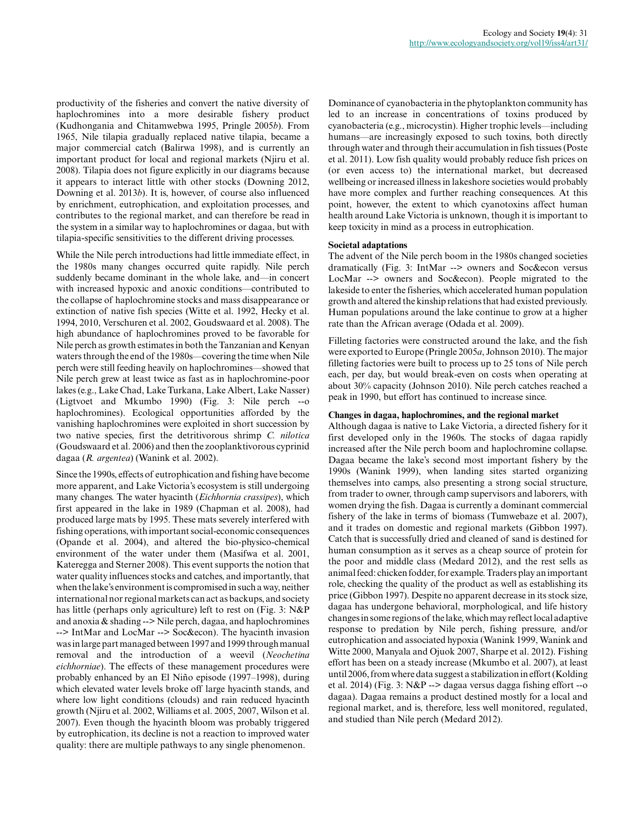productivity of the fisheries and convert the native diversity of haplochromines into a more desirable fishery product (Kudhongania and Chitamwebwa 1995, Pringle 2005*b*). From 1965, Nile tilapia gradually replaced native tilapia, became a major commercial catch (Balirwa 1998), and is currently an important product for local and regional markets (Njiru et al. 2008). Tilapia does not figure explicitly in our diagrams because it appears to interact little with other stocks (Downing 2012, Downing et al. 2013*b*). It is, however, of course also influenced by enrichment, eutrophication, and exploitation processes, and contributes to the regional market, and can therefore be read in the system in a similar way to haplochromines or dagaa, but with tilapia-specific sensitivities to the different driving processes.

While the Nile perch introductions had little immediate effect, in the 1980s many changes occurred quite rapidly. Nile perch suddenly became dominant in the whole lake, and—in concert with increased hypoxic and anoxic conditions—contributed to the collapse of haplochromine stocks and mass disappearance or extinction of native fish species (Witte et al. 1992, Hecky et al. 1994, 2010, Verschuren et al. 2002, Goudswaard et al. 2008). The high abundance of haplochromines proved to be favorable for Nile perch as growth estimates in both the Tanzanian and Kenyan waters through the end of the 1980s—covering the time when Nile perch were still feeding heavily on haplochromines—showed that Nile perch grew at least twice as fast as in haplochromine-poor lakes (e.g., Lake Chad, Lake Turkana, Lake Albert, Lake Nasser) (Ligtvoet and Mkumbo 1990) (Fig. 3: Nile perch --o haplochromines). Ecological opportunities afforded by the vanishing haplochromines were exploited in short succession by two native species, first the detritivorous shrimp *C. nilotica* (Goudswaard et al. 2006) and then the zooplanktivorous cyprinid dagaa (*R. argentea*) (Wanink et al. 2002).

Since the 1990s, effects of eutrophication and fishing have become more apparent, and Lake Victoria's ecosystem is still undergoing many changes. The water hyacinth (*Eichhornia crassipes*), which first appeared in the lake in 1989 (Chapman et al. 2008), had produced large mats by 1995. These mats severely interfered with fishing operations, with important social-economic consequences (Opande et al. 2004), and altered the bio-physico-chemical environment of the water under them (Masifwa et al. 2001, Kateregga and Sterner 2008). This event supports the notion that water quality influences stocks and catches, and importantly, that when the lake's environment is compromised in such a way, neither international nor regional markets can act as backups, and society has little (perhaps only agriculture) left to rest on (Fig. 3: N&P and anoxia & shading --> Nile perch, dagaa, and haplochromines --> IntMar and LocMar --> Soc&econ). The hyacinth invasion was in large part managed between 1997 and 1999 through manual removal and the introduction of a weevil (*Neochetina eichhorniae*). The effects of these management procedures were probably enhanced by an El Niño episode (1997–1998), during which elevated water levels broke off large hyacinth stands, and where low light conditions (clouds) and rain reduced hyacinth growth (Njiru et al. 2002, Williams et al. 2005, 2007, Wilson et al. 2007). Even though the hyacinth bloom was probably triggered by eutrophication, its decline is not a reaction to improved water quality: there are multiple pathways to any single phenomenon.

Dominance of cyanobacteria in the phytoplankton community has led to an increase in concentrations of toxins produced by cyanobacteria (e.g., microcystin). Higher trophic levels—including humans—are increasingly exposed to such toxins, both directly through water and through their accumulation in fish tissues (Poste et al. 2011). Low fish quality would probably reduce fish prices on (or even access to) the international market, but decreased wellbeing or increased illness in lakeshore societies would probably have more complex and further reaching consequences. At this point, however, the extent to which cyanotoxins affect human health around Lake Victoria is unknown, though it is important to keep toxicity in mind as a process in eutrophication.

#### **Societal adaptations**

The advent of the Nile perch boom in the 1980s changed societies dramatically (Fig. 3: IntMar --> owners and Soc&econ versus LocMar --> owners and Soc&econ). People migrated to the lakeside to enter the fisheries, which accelerated human population growth and altered the kinship relations that had existed previously. Human populations around the lake continue to grow at a higher rate than the African average (Odada et al. 2009).

Filleting factories were constructed around the lake, and the fish were exported to Europe (Pringle 2005*a*, Johnson 2010). The major filleting factories were built to process up to 25 tons of Nile perch each, per day, but would break-even on costs when operating at about 30% capacity (Johnson 2010). Nile perch catches reached a peak in 1990, but effort has continued to increase since.

## **Changes in dagaa, haplochromines, and the regional market**

Although dagaa is native to Lake Victoria, a directed fishery for it first developed only in the 1960s. The stocks of dagaa rapidly increased after the Nile perch boom and haplochromine collapse. Dagaa became the lake's second most important fishery by the 1990s (Wanink 1999), when landing sites started organizing themselves into camps, also presenting a strong social structure, from trader to owner, through camp supervisors and laborers, with women drying the fish. Dagaa is currently a dominant commercial fishery of the lake in terms of biomass (Tumwebaze et al. 2007), and it trades on domestic and regional markets (Gibbon 1997). Catch that is successfully dried and cleaned of sand is destined for human consumption as it serves as a cheap source of protein for the poor and middle class (Medard 2012), and the rest sells as animal feed: chicken fodder, for example. Traders play an important role, checking the quality of the product as well as establishing its price (Gibbon 1997). Despite no apparent decrease in its stock size, dagaa has undergone behavioral, morphological, and life history changes in some regions of the lake, which may reflect local adaptive response to predation by Nile perch, fishing pressure, and/or eutrophication and associated hypoxia (Wanink 1999, Wanink and Witte 2000, Manyala and Ojuok 2007, Sharpe et al. 2012). Fishing effort has been on a steady increase (Mkumbo et al. 2007), at least until 2006, from where data suggest a stabilization in effort (Kolding et al. 2014) (Fig. 3: N&P --> dagaa versus dagga fishing effort --o dagaa). Dagaa remains a product destined mostly for a local and regional market, and is, therefore, less well monitored, regulated, and studied than Nile perch (Medard 2012).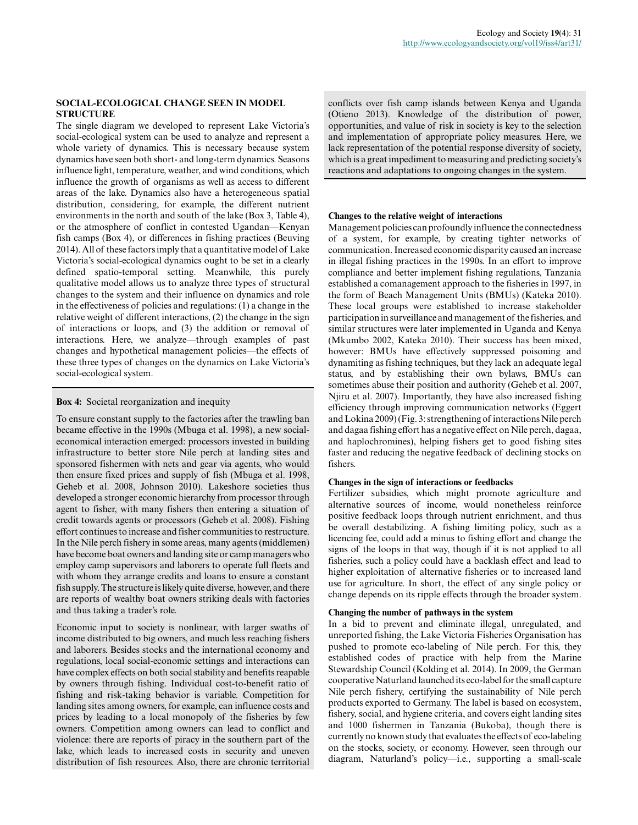# **SOCIAL-ECOLOGICAL CHANGE SEEN IN MODEL STRUCTURE**

The single diagram we developed to represent Lake Victoria's social-ecological system can be used to analyze and represent a whole variety of dynamics. This is necessary because system dynamics have seen both short- and long-term dynamics. Seasons influence light, temperature, weather, and wind conditions, which influence the growth of organisms as well as access to different areas of the lake. Dynamics also have a heterogeneous spatial distribution, considering, for example, the different nutrient environments in the north and south of the lake (Box 3, Table 4), or the atmosphere of conflict in contested Ugandan—Kenyan fish camps (Box 4), or differences in fishing practices (Beuving 2014). All of these factors imply that a quantitative model of Lake Victoria's social-ecological dynamics ought to be set in a clearly defined spatio-temporal setting. Meanwhile, this purely qualitative model allows us to analyze three types of structural changes to the system and their influence on dynamics and role in the effectiveness of policies and regulations: (1) a change in the relative weight of different interactions, (2) the change in the sign of interactions or loops, and (3) the addition or removal of interactions. Here, we analyze—through examples of past changes and hypothetical management policies—the effects of these three types of changes on the dynamics on Lake Victoria's social-ecological system.

**Box 4:** Societal reorganization and inequity

To ensure constant supply to the factories after the trawling ban became effective in the 1990s (Mbuga et al. 1998), a new socialeconomical interaction emerged: processors invested in building infrastructure to better store Nile perch at landing sites and sponsored fishermen with nets and gear via agents, who would then ensure fixed prices and supply of fish (Mbuga et al. 1998, Geheb et al. 2008, Johnson 2010). Lakeshore societies thus developed a stronger economic hierarchy from processor through agent to fisher, with many fishers then entering a situation of credit towards agents or processors (Geheb et al. 2008). Fishing effort continues to increase and fisher communities to restructure. In the Nile perch fishery in some areas, many agents (middlemen) have become boat owners and landing site or camp managers who employ camp supervisors and laborers to operate full fleets and with whom they arrange credits and loans to ensure a constant fish supply. The structure is likely quite diverse, however, and there are reports of wealthy boat owners striking deals with factories and thus taking a trader's role.

Economic input to society is nonlinear, with larger swaths of income distributed to big owners, and much less reaching fishers and laborers. Besides stocks and the international economy and regulations, local social-economic settings and interactions can have complex effects on both social stability and benefits reapable by owners through fishing. Individual cost-to-benefit ratio of fishing and risk-taking behavior is variable. Competition for landing sites among owners, for example, can influence costs and prices by leading to a local monopoly of the fisheries by few owners. Competition among owners can lead to conflict and violence: there are reports of piracy in the southern part of the lake, which leads to increased costs in security and uneven distribution of fish resources. Also, there are chronic territorial conflicts over fish camp islands between Kenya and Uganda (Otieno 2013). Knowledge of the distribution of power, opportunities, and value of risk in society is key to the selection and implementation of appropriate policy measures. Here, we lack representation of the potential response diversity of society, which is a great impediment to measuring and predicting society's reactions and adaptations to ongoing changes in the system.

# **Changes to the relative weight of interactions**

Management policies can profoundly influence the connectedness of a system, for example, by creating tighter networks of communication. Increased economic disparity caused an increase in illegal fishing practices in the 1990s. In an effort to improve compliance and better implement fishing regulations, Tanzania established a comanagement approach to the fisheries in 1997, in the form of Beach Management Units (BMUs) (Kateka 2010). These local groups were established to increase stakeholder participation in surveillance and management of the fisheries, and similar structures were later implemented in Uganda and Kenya (Mkumbo 2002, Kateka 2010). Their success has been mixed, however: BMUs have effectively suppressed poisoning and dynamiting as fishing techniques, but they lack an adequate legal status, and by establishing their own bylaws, BMUs can sometimes abuse their position and authority (Geheb et al. 2007, Njiru et al. 2007). Importantly, they have also increased fishing efficiency through improving communication networks (Eggert and Lokina 2009) (Fig. 3: strengthening of interactions Nile perch and dagaa fishing effort has a negative effect on Nile perch, dagaa, and haplochromines), helping fishers get to good fishing sites faster and reducing the negative feedback of declining stocks on fishers.

# **Changes in the sign of interactions or feedbacks**

Fertilizer subsidies, which might promote agriculture and alternative sources of income, would nonetheless reinforce positive feedback loops through nutrient enrichment, and thus be overall destabilizing. A fishing limiting policy, such as a licencing fee, could add a minus to fishing effort and change the signs of the loops in that way, though if it is not applied to all fisheries, such a policy could have a backlash effect and lead to higher exploitation of alternative fisheries or to increased land use for agriculture. In short, the effect of any single policy or change depends on its ripple effects through the broader system.

## **Changing the number of pathways in the system**

In a bid to prevent and eliminate illegal, unregulated, and unreported fishing, the Lake Victoria Fisheries Organisation has pushed to promote eco-labeling of Nile perch. For this, they established codes of practice with help from the Marine Stewardship Council (Kolding et al. 2014). In 2009, the German cooperative Naturland launched its eco-label for the small capture Nile perch fishery, certifying the sustainability of Nile perch products exported to Germany. The label is based on ecosystem, fishery, social, and hygiene criteria, and covers eight landing sites and 1000 fishermen in Tanzania (Bukoba), though there is currently no known study that evaluates the effects of eco-labeling on the stocks, society, or economy. However, seen through our diagram, Naturland's policy—i.e., supporting a small-scale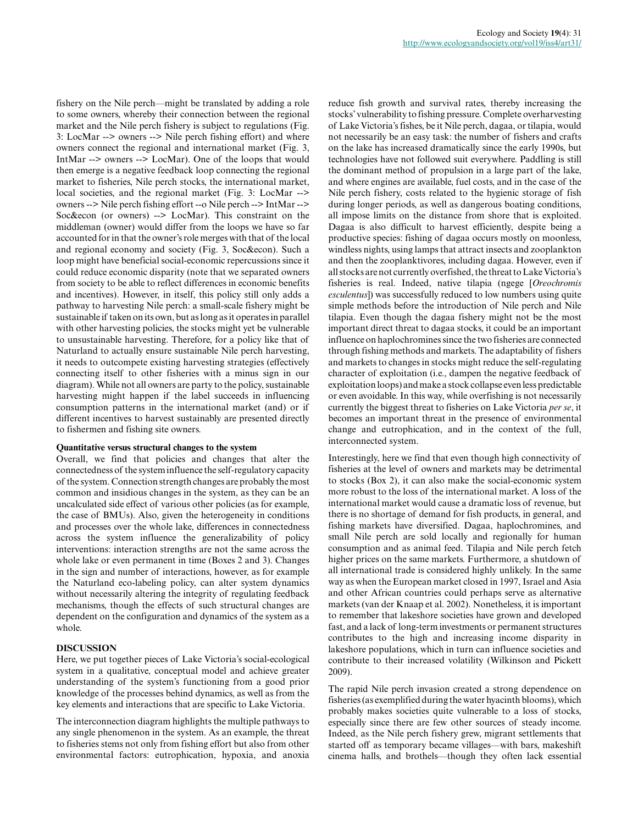fishery on the Nile perch—might be translated by adding a role to some owners, whereby their connection between the regional market and the Nile perch fishery is subject to regulations (Fig. 3: LocMar --> owners --> Nile perch fishing effort) and where owners connect the regional and international market (Fig. 3, IntMar --> owners --> LocMar). One of the loops that would then emerge is a negative feedback loop connecting the regional market to fisheries, Nile perch stocks, the international market, local societies, and the regional market (Fig. 3: LocMar --> owners --> Nile perch fishing effort --o Nile perch --> IntMar --> Soc&econ (or owners) --> LocMar). This constraint on the middleman (owner) would differ from the loops we have so far accounted for in that the owner's role merges with that of the local and regional economy and society (Fig. 3, Soc&econ). Such a loop might have beneficial social-economic repercussions since it could reduce economic disparity (note that we separated owners from society to be able to reflect differences in economic benefits and incentives). However, in itself, this policy still only adds a pathway to harvesting Nile perch: a small-scale fishery might be sustainable if taken on its own, but as long as it operates in parallel with other harvesting policies, the stocks might yet be vulnerable to unsustainable harvesting. Therefore, for a policy like that of Naturland to actually ensure sustainable Nile perch harvesting, it needs to outcompete existing harvesting strategies (effectively connecting itself to other fisheries with a minus sign in our diagram). While not all owners are party to the policy, sustainable harvesting might happen if the label succeeds in influencing consumption patterns in the international market (and) or if different incentives to harvest sustainably are presented directly to fishermen and fishing site owners.

# **Quantitative versus structural changes to the system**

Overall, we find that policies and changes that alter the connectedness of the system influence the self-regulatory capacity of the system. Connection strength changes are probably the most common and insidious changes in the system, as they can be an uncalculated side effect of various other policies (as for example, the case of BMUs). Also, given the heterogeneity in conditions and processes over the whole lake, differences in connectedness across the system influence the generalizability of policy interventions: interaction strengths are not the same across the whole lake or even permanent in time (Boxes 2 and 3). Changes in the sign and number of interactions, however, as for example the Naturland eco-labeling policy, can alter system dynamics without necessarily altering the integrity of regulating feedback mechanisms, though the effects of such structural changes are dependent on the configuration and dynamics of the system as a whole.

### **DISCUSSION**

Here, we put together pieces of Lake Victoria's social-ecological system in a qualitative, conceptual model and achieve greater understanding of the system's functioning from a good prior knowledge of the processes behind dynamics, as well as from the key elements and interactions that are specific to Lake Victoria.

The interconnection diagram highlights the multiple pathways to any single phenomenon in the system. As an example, the threat to fisheries stems not only from fishing effort but also from other environmental factors: eutrophication, hypoxia, and anoxia reduce fish growth and survival rates, thereby increasing the stocks' vulnerability to fishing pressure. Complete overharvesting of Lake Victoria's fishes, be it Nile perch, dagaa, or tilapia, would not necessarily be an easy task: the number of fishers and crafts on the lake has increased dramatically since the early 1990s, but technologies have not followed suit everywhere. Paddling is still the dominant method of propulsion in a large part of the lake, and where engines are available, fuel costs, and in the case of the Nile perch fishery, costs related to the hygienic storage of fish during longer periods, as well as dangerous boating conditions, all impose limits on the distance from shore that is exploited. Dagaa is also difficult to harvest efficiently, despite being a productive species: fishing of dagaa occurs mostly on moonless, windless nights, using lamps that attract insects and zooplankton and then the zooplanktivores, including dagaa. However, even if all stocks are not currently overfished, the threat to Lake Victoria's fisheries is real. Indeed, native tilapia (ngege [*Oreochromis esculentus*]) was successfully reduced to low numbers using quite simple methods before the introduction of Nile perch and Nile tilapia. Even though the dagaa fishery might not be the most important direct threat to dagaa stocks, it could be an important influence on haplochromines since the two fisheries are connected through fishing methods and markets. The adaptability of fishers and markets to changes in stocks might reduce the self-regulating character of exploitation (i.e., dampen the negative feedback of exploitation loops) and make a stock collapse even less predictable or even avoidable. In this way, while overfishing is not necessarily currently the biggest threat to fisheries on Lake Victoria *per se*, it becomes an important threat in the presence of environmental change and eutrophication, and in the context of the full, interconnected system.

Interestingly, here we find that even though high connectivity of fisheries at the level of owners and markets may be detrimental to stocks (Box 2), it can also make the social-economic system more robust to the loss of the international market. A loss of the international market would cause a dramatic loss of revenue, but there is no shortage of demand for fish products, in general, and fishing markets have diversified. Dagaa, haplochromines, and small Nile perch are sold locally and regionally for human consumption and as animal feed. Tilapia and Nile perch fetch higher prices on the same markets. Furthermore, a shutdown of all international trade is considered highly unlikely. In the same way as when the European market closed in 1997, Israel and Asia and other African countries could perhaps serve as alternative markets (van der Knaap et al. 2002). Nonetheless, it is important to remember that lakeshore societies have grown and developed fast, and a lack of long-term investments or permanent structures contributes to the high and increasing income disparity in lakeshore populations, which in turn can influence societies and contribute to their increased volatility (Wilkinson and Pickett 2009).

The rapid Nile perch invasion created a strong dependence on fisheries (as exemplified during the water hyacinth blooms), which probably makes societies quite vulnerable to a loss of stocks, especially since there are few other sources of steady income. Indeed, as the Nile perch fishery grew, migrant settlements that started off as temporary became villages—with bars, makeshift cinema halls, and brothels—though they often lack essential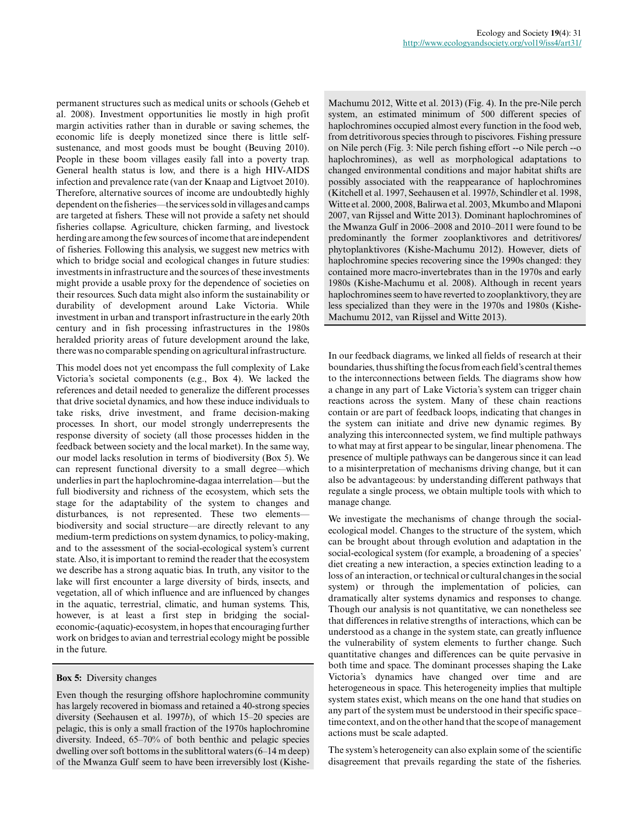permanent structures such as medical units or schools (Geheb et al. 2008). Investment opportunities lie mostly in high profit margin activities rather than in durable or saving schemes, the economic life is deeply monetized since there is little selfsustenance, and most goods must be bought (Beuving 2010). People in these boom villages easily fall into a poverty trap. General health status is low, and there is a high HIV-AIDS infection and prevalence rate (van der Knaap and Ligtvoet 2010). Therefore, alternative sources of income are undoubtedly highly dependent on the fisheries—the services sold in villages and camps are targeted at fishers. These will not provide a safety net should fisheries collapse. Agriculture, chicken farming, and livestock herding are among the few sources of income that are independent of fisheries. Following this analysis, we suggest new metrics with which to bridge social and ecological changes in future studies: investments in infrastructure and the sources of these investments might provide a usable proxy for the dependence of societies on their resources. Such data might also inform the sustainability or durability of development around Lake Victoria. While investment in urban and transport infrastructure in the early 20th century and in fish processing infrastructures in the 1980s heralded priority areas of future development around the lake, there was no comparable spending on agricultural infrastructure.

This model does not yet encompass the full complexity of Lake Victoria's societal components (e.g., Box 4). We lacked the references and detail needed to generalize the different processes that drive societal dynamics, and how these induce individuals to take risks, drive investment, and frame decision-making processes. In short, our model strongly underrepresents the response diversity of society (all those processes hidden in the feedback between society and the local market). In the same way, our model lacks resolution in terms of biodiversity (Box 5). We can represent functional diversity to a small degree—which underlies in part the haplochromine-dagaa interrelation—but the full biodiversity and richness of the ecosystem, which sets the stage for the adaptability of the system to changes and disturbances, is not represented. These two elements biodiversity and social structure—are directly relevant to any medium-term predictions on system dynamics, to policy-making, and to the assessment of the social-ecological system's current state. Also, it is important to remind the reader that the ecosystem we describe has a strong aquatic bias. In truth, any visitor to the lake will first encounter a large diversity of birds, insects, and vegetation, all of which influence and are influenced by changes in the aquatic, terrestrial, climatic, and human systems. This, however, is at least a first step in bridging the socialeconomic-(aquatic)-ecosystem, in hopes that encouraging further work on bridges to avian and terrestrial ecology might be possible in the future.

## **Box 5:** Diversity changes

Even though the resurging offshore haplochromine community has largely recovered in biomass and retained a 40-strong species diversity (Seehausen et al. 1997*b*), of which 15–20 species are pelagic, this is only a small fraction of the 1970s haplochromine diversity. Indeed, 65–70% of both benthic and pelagic species dwelling over soft bottoms in the sublittoral waters (6–14 m deep) of the Mwanza Gulf seem to have been irreversibly lost (Kishe-

Machumu 2012, Witte et al. 2013) (Fig. 4). In the pre-Nile perch system, an estimated minimum of 500 different species of haplochromines occupied almost every function in the food web, from detritivorous species through to piscivores. Fishing pressure on Nile perch (Fig. 3: Nile perch fishing effort --o Nile perch --o haplochromines), as well as morphological adaptations to changed environmental conditions and major habitat shifts are possibly associated with the reappearance of haplochromines (Kitchell et al. 1997, Seehausen et al. 1997*b*, Schindler et al. 1998, Witte et al. 2000, 2008, Balirwa et al. 2003, Mkumbo and Mlaponi 2007, van Rijssel and Witte 2013). Dominant haplochromines of the Mwanza Gulf in 2006–2008 and 2010–2011 were found to be predominantly the former zooplanktivores and detritivores/ phytoplanktivores (Kishe-Machumu 2012). However, diets of haplochromine species recovering since the 1990s changed: they contained more macro-invertebrates than in the 1970s and early 1980s (Kishe-Machumu et al. 2008). Although in recent years haplochromines seem to have reverted to zooplanktivory, they are less specialized than they were in the 1970s and 1980s (Kishe-Machumu 2012, van Rijssel and Witte 2013).

In our feedback diagrams, we linked all fields of research at their boundaries, thus shifting the focus from each field's central themes to the interconnections between fields. The diagrams show how a change in any part of Lake Victoria's system can trigger chain reactions across the system. Many of these chain reactions contain or are part of feedback loops, indicating that changes in the system can initiate and drive new dynamic regimes. By analyzing this interconnected system, we find multiple pathways to what may at first appear to be singular, linear phenomena. The presence of multiple pathways can be dangerous since it can lead to a misinterpretation of mechanisms driving change, but it can also be advantageous: by understanding different pathways that regulate a single process, we obtain multiple tools with which to manage change.

We investigate the mechanisms of change through the socialecological model. Changes to the structure of the system, which can be brought about through evolution and adaptation in the social-ecological system (for example, a broadening of a species' diet creating a new interaction, a species extinction leading to a loss of an interaction, or technical or cultural changes in the social system) or through the implementation of policies, can dramatically alter systems dynamics and responses to change. Though our analysis is not quantitative, we can nonetheless see that differences in relative strengths of interactions, which can be understood as a change in the system state, can greatly influence the vulnerability of system elements to further change. Such quantitative changes and differences can be quite pervasive in both time and space. The dominant processes shaping the Lake Victoria's dynamics have changed over time and are heterogeneous in space. This heterogeneity implies that multiple system states exist, which means on the one hand that studies on any part of the system must be understood in their specific space– time context, and on the other hand that the scope of management actions must be scale adapted.

The system's heterogeneity can also explain some of the scientific disagreement that prevails regarding the state of the fisheries.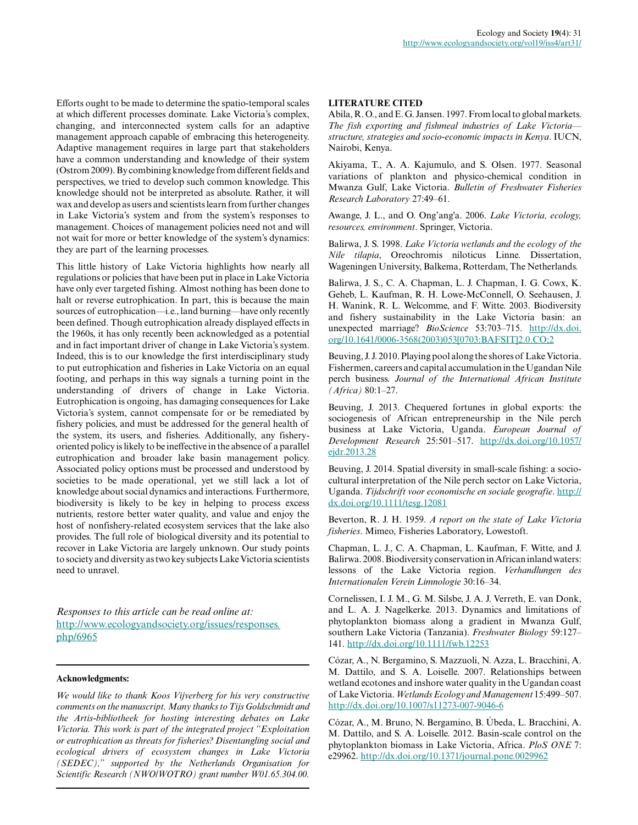Efforts ought to be made to determine the spatio-temporal scales at which different processes dominate. Lake Victoria's complex, changing, and interconnected system calls for an adaptive management approach capable of embracing this heterogeneity. Adaptive management requires in large part that stakeholders have a common understanding and knowledge of their system (Ostrom 2009). By combining knowledge from different fields and perspectives, we tried to develop such common knowledge. This knowledge should not be interpreted as absolute. Rather, it will wax and develop as users and scientists learn from further changes in Lake Victoria's system and from the system's responses to management. Choices of management policies need not and will not wait for more or better knowledge of the system's dynamics: they are part of the learning processes.

This little history of Lake Victoria highlights how nearly all regulations or policies that have been put in place in Lake Victoria have only ever targeted fishing. Almost nothing has been done to halt or reverse eutrophication. In part, this is because the main sources of eutrophication—i.e., land burning—have only recently been defined. Though eutrophication already displayed effects in the 1960s, it has only recently been acknowledged as a potential and in fact important driver of change in Lake Victoria's system. Indeed, this is to our knowledge the first interdisciplinary study to put eutrophication and fisheries in Lake Victoria on an equal footing, and perhaps in this way signals a turning point in the understanding of drivers of change in Lake Victoria. Eutrophication is ongoing, has damaging consequences for Lake Victoria's system, cannot compensate for or be remediated by fishery policies, and must be addressed for the general health of the system, its users, and fisheries. Additionally, any fisheryoriented policy is likely to be ineffective in the absence of a parallel eutrophication and broader lake basin management policy. Associated policy options must be processed and understood by societies to be made operational, yet we still lack a lot of knowledge about social dynamics and interactions. Furthermore, biodiversity is likely to be key in helping to process excess nutrients, restore better water quality, and value and enjoy the host of nonfishery-related ecosystem services that the lake also provides. The full role of biological diversity and its potential to recover in Lake Victoria are largely unknown. Our study points to society and diversity as two key subjects Lake Victoria scientists need to unravel.

*Responses to this article can be read online at:* [http://www.ecologyandsociety.org/issues/responses.](http://www.ecologyandsociety.org/issues/responses.php/6965) [php/6965](http://www.ecologyandsociety.org/issues/responses.php/6965)

#### **Acknowledgments:**

*We would like to thank Koos Vijverberg for his very constructive comments on the manuscript. Many thanks to Tijs Goldschmidt and the Artis-bibliotheek for hosting interesting debates on Lake Victoria. This work is part of the integrated project "Exploitation or eutrophication as threats for fisheries? Disentangling social and ecological drivers of ecosystem changes in Lake Victoria (SEDEC)," supported by the Netherlands Organisation for Scientific Research (NWO/WOTRO) grant number W01.65.304.00.*

# **LITERATURE CITED**

Abila, R. O., and E. G. Jansen. 1997. From local to global markets. *The fish exporting and fishmeal industries of Lake Victoria structure, strategies and socio-economic impacts in Kenya*. IUCN, Nairobi, Kenya.

Akiyama, T., A. A. Kajumulo, and S. Olsen. 1977. Seasonal variations of plankton and physico-chemical condition in Mwanza Gulf, Lake Victoria. *Bulletin of Freshwater Fisheries Research Laboratory* 27:49–61.

Awange, J. L., and O. Ong'ang'a. 2006. *Lake Victoria, ecology, resources, environment*. Springer, Victoria.

Balirwa, J. S. 1998. *Lake Victoria wetlands and the ecology of the Nile tilapia*, Oreochromis niloticus Linne. Dissertation, Wageningen University, Balkema, Rotterdam, The Netherlands.

Balirwa, J. S., C. A. Chapman, L. J. Chapman, I. G. Cowx, K. Geheb, L. Kaufman, R. H. Lowe-McConnell, O. Seehausen, J. H. Wanink, R. L. Welcomme, and F. Witte. 2003. Biodiversity and fishery sustainability in the Lake Victoria basin: an unexpected marriage? *BioScience* 53:703–715. [http://dx.doi.](http://dx.doi.org/10.1641/0006-3568(2003)053[0703:BAFSIT]2.0.CO;2) [org/10.1641/0006-3568\(2003\)053\[0703:BAFSIT\]2.0.CO;2](http://dx.doi.org/10.1641/0006-3568(2003)053[0703:BAFSIT]2.0.CO;2) 

Beuving, J. J. 2010. Playing pool along the shores of Lake Victoria. Fishermen, careers and capital accumulation in the Ugandan Nile perch business. *Journal of the International African Institute (Africa)* 80:1–27.

Beuving, J. 2013. Chequered fortunes in global exports: the sociogenesis of African entrepreneurship in the Nile perch business at Lake Victoria, Uganda. *European Journal of Development Research* 25:501–517. [http://dx.doi.org/10.1057/](http://dx.doi.org/10.1057/ejdr.2013.28) [ejdr.2013.28](http://dx.doi.org/10.1057/ejdr.2013.28)

Beuving, J. 2014. Spatial diversity in small-scale fishing: a sociocultural interpretation of the Nile perch sector on Lake Victoria, Uganda. *Tijdschrift voor economische en sociale geografie*. [http://](http://dx.doi.org/10.1111/tesg.12081) [dx.doi.org/10.1111/tesg.12081](http://dx.doi.org/10.1111/tesg.12081) 

Beverton, R. J. H. 1959. *A report on the state of Lake Victoria fisheries*. Mimeo, Fisheries Laboratory, Lowestoft.

Chapman, L. J., C. A. Chapman, L. Kaufman, F. Witte, and J. Balirwa. 2008. Biodiversity conservation in African inland waters: lessons of the Lake Victoria region. *Verhandlungen des Internationalen Verein Limnologie* 30:16–34.

Cornelissen, I. J. M., G. M. Silsbe, J. A. J. Verreth, E. van Donk, and L. A. J. Nagelkerke. 2013. Dynamics and limitations of phytoplankton biomass along a gradient in Mwanza Gulf, southern Lake Victoria (Tanzania). *Freshwater Biology* 59:127– 141.<http://dx.doi.org/10.1111/fwb.12253>

Cózar, A., N. Bergamino, S. Mazzuoli, N. Azza, L. Bracchini, A. M. Dattilo, and S. A. Loiselle. 2007. Relationships between wetland ecotones and inshore water quality in the Ugandan coast of Lake Victoria. *Wetlands Ecology and Management* 15:499–507. <http://dx.doi.org/10.1007/s11273-007-9046-6>

Cózar, A., M. Bruno, N. Bergamino, B. Úbeda, L. Bracchini, A. M. Dattilo, and S. A. Loiselle. 2012. Basin-scale control on the phytoplankton biomass in Lake Victoria, Africa. *PloS ONE* 7: e29962.<http://dx.doi.org/10.1371/journal.pone.0029962>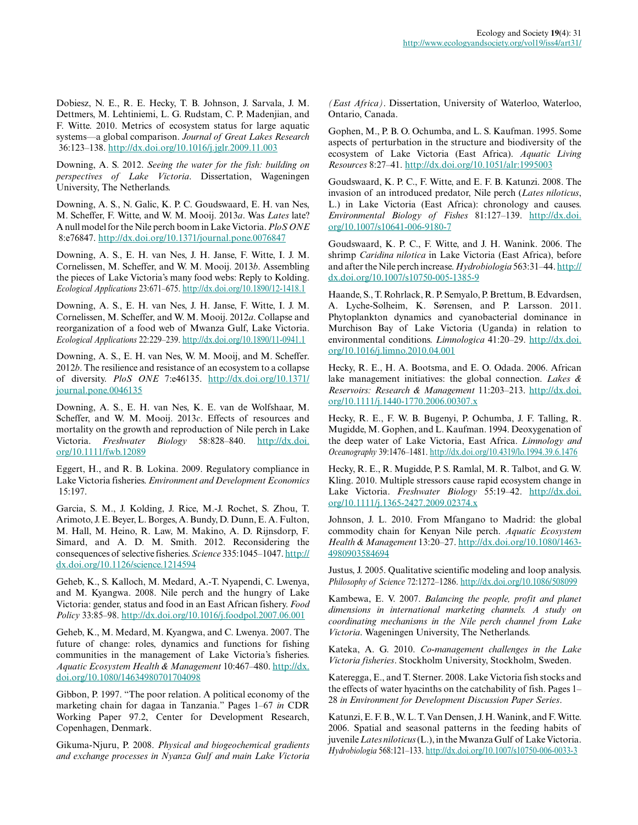Dobiesz, N. E., R. E. Hecky, T. B. Johnson, J. Sarvala, J. M. Dettmers, M. Lehtiniemi, L. G. Rudstam, C. P. Madenjian, and F. Witte. 2010. Metrics of ecosystem status for large aquatic systems—a global comparison. *Journal of Great Lakes Research* 36:123–138. <http://dx.doi.org/10.1016/j.jglr.2009.11.003>

Downing, A. S. 2012. *Seeing the water for the fish: building on perspectives of Lake Victoria*. Dissertation, Wageningen University, The Netherlands.

Downing, A. S., N. Galic, K. P. C. Goudswaard, E. H. van Nes, M. Scheffer, F. Witte, and W. M. Mooij. 2013*a*. Was *Lates* late? A null model for the Nile perch boom in Lake Victoria. *PloS ONE* 8:e76847.<http://dx.doi.org/10.1371/journal.pone.0076847>

Downing, A. S., E. H. van Nes, J. H. Janse, F. Witte, I. J. M. Cornelissen, M. Scheffer, and W. M. Mooij. 2013*b*. Assembling the pieces of Lake Victoria's many food webs: Reply to Kolding. *Ecological Applications* 23:671–675.<http://dx.doi.org/10.1890/12-1418.1>

Downing, A. S., E. H. van Nes, J. H. Janse, F. Witte, I. J. M. Cornelissen, M. Scheffer, and W. M. Mooij. 2012*a*. Collapse and reorganization of a food web of Mwanza Gulf, Lake Victoria. *Ecological Applications* 22:229–239.<http://dx.doi.org/10.1890/11-0941.1>

Downing, A. S., E. H. van Nes, W. M. Mooij, and M. Scheffer. 2012*b*. The resilience and resistance of an ecosystem to a collapse of diversity. *PloS ONE* 7:e46135. [http://dx.doi.org/10.1371/](http://dx.doi.org/10.1371/journal.pone.0046135) [journal.pone.0046135](http://dx.doi.org/10.1371/journal.pone.0046135)

Downing, A. S., E. H. van Nes, K. E. van de Wolfshaar, M. Scheffer, and W. M. Mooij. 2013*c*. Effects of resources and mortality on the growth and reproduction of Nile perch in Lake Victoria. *Freshwater Biology* 58:828–840. [http://dx.doi.](http://dx.doi.org/10.1111/fwb.12089) [org/10.1111/fwb.12089](http://dx.doi.org/10.1111/fwb.12089) 

Eggert, H., and R. B. Lokina. 2009. Regulatory compliance in Lake Victoria fisheries. *Environment and Development Economics* 15:197.

Garcia, S. M., J. Kolding, J. Rice, M.-J. Rochet, S. Zhou, T. Arimoto, J. E. Beyer, L. Borges, A. Bundy, D. Dunn, E. A. Fulton, M. Hall, M. Heino, R. Law, M. Makino, A. D. Rijnsdorp, F. Simard, and A. D. M. Smith. 2012. Reconsidering the consequences of selective fisheries. *Science* 335:1045–1047. [http://](http://dx.doi.org/10.1126/science.1214594) [dx.doi.org/10.1126/science.1214594](http://dx.doi.org/10.1126/science.1214594) 

Geheb, K., S. Kalloch, M. Medard, A.-T. Nyapendi, C. Lwenya, and M. Kyangwa. 2008. Nile perch and the hungry of Lake Victoria: gender, status and food in an East African fishery. *Food Policy* 33:85–98. <http://dx.doi.org/10.1016/j.foodpol.2007.06.001>

Geheb, K., M. Medard, M. Kyangwa, and C. Lwenya. 2007. The future of change: roles, dynamics and functions for fishing communities in the management of Lake Victoria's fisheries. *Aquatic Ecosystem Health & Management* 10:467–480. [http://dx.](http://dx.doi.org/10.1080/14634980701704098) [doi.org/10.1080/14634980701704098](http://dx.doi.org/10.1080/14634980701704098) 

Gibbon, P. 1997. "The poor relation. A political economy of the marketing chain for dagaa in Tanzania." Pages 1–67 *in* CDR Working Paper 97.2, Center for Development Research, Copenhagen, Denmark.

Gikuma-Njuru, P. 2008. *Physical and biogeochemical gradients and exchange processes in Nyanza Gulf and main Lake Victoria*

*(East Africa)*. Dissertation, University of Waterloo, Waterloo, Ontario, Canada.

Gophen, M., P. B. O. Ochumba, and L. S. Kaufman. 1995. Some aspects of perturbation in the structure and biodiversity of the ecosystem of Lake Victoria (East Africa). *Aquatic Living Resources* 8:27–41. <http://dx.doi.org/10.1051/alr:1995003>

Goudswaard, K. P. C., F. Witte, and E. F. B. Katunzi. 2008. The invasion of an introduced predator, Nile perch (*Lates niloticus*, L.) in Lake Victoria (East Africa): chronology and causes. *Environmental Biology of Fishes* 81:127–139. [http://dx.doi.](http://dx.doi.org/10.1007/s10641-006-9180-7) [org/10.1007/s10641-006-9180-7](http://dx.doi.org/10.1007/s10641-006-9180-7)

Goudswaard, K. P. C., F. Witte, and J. H. Wanink. 2006. The shrimp *Caridina nilotica* in Lake Victoria (East Africa), before and after the Nile perch increase. *Hydrobiologia* 563:31–44. [http://](http://dx.doi.org/10.1007/s10750-005-1385-9) [dx.doi.org/10.1007/s10750-005-1385-9](http://dx.doi.org/10.1007/s10750-005-1385-9) 

Haande, S., T. Rohrlack, R. P. Semyalo, P. Brettum, B. Edvardsen, A. Lyche-Solheim, K. Sørensen, and P. Larsson. 2011. Phytoplankton dynamics and cyanobacterial dominance in Murchison Bay of Lake Victoria (Uganda) in relation to environmental conditions. *Limnologica* 41:20–29. [http://dx.doi.](http://dx.doi.org/10.1016/j.limno.2010.04.001) [org/10.1016/j.limno.2010.04.001](http://dx.doi.org/10.1016/j.limno.2010.04.001) 

Hecky, R. E., H. A. Bootsma, and E. O. Odada. 2006. African lake management initiatives: the global connection. *Lakes & Reservoirs: Research & Management* 11:203–213. [http://dx.doi.](http://dx.doi.org/10.1111/j.1440-1770.2006.00307.x) [org/10.1111/j.1440-1770.2006.00307.x](http://dx.doi.org/10.1111/j.1440-1770.2006.00307.x)

Hecky, R. E., F. W. B. Bugenyi, P. Ochumba, J. F. Talling, R. Mugidde, M. Gophen, and L. Kaufman. 1994. Deoxygenation of the deep water of Lake Victoria, East Africa. *Limnology and Oceanography* 39:1476–1481.<http://dx.doi.org/10.4319/lo.1994.39.6.1476>

Hecky, R. E., R. Mugidde, P. S. Ramlal, M. R. Talbot, and G. W. Kling. 2010. Multiple stressors cause rapid ecosystem change in Lake Victoria. *Freshwater Biology* 55:19–42. [http://dx.doi.](http://dx.doi.org/10.1111/j.1365-2427.2009.02374.x) [org/10.1111/j.1365-2427.2009.02374.x](http://dx.doi.org/10.1111/j.1365-2427.2009.02374.x)

Johnson, J. L. 2010. From Mfangano to Madrid: the global commodity chain for Kenyan Nile perch. *Aquatic Ecosystem Health & Management* 13:20–27. [http://dx.doi.org/10.1080/1463](http://dx.doi.org/10.1080/14634980903584694) [4980903584694](http://dx.doi.org/10.1080/14634980903584694) 

Justus, J. 2005. Qualitative scientific modeling and loop analysis. *Philosophy of Science* 72:1272–1286. <http://dx.doi.org/10.1086/508099>

Kambewa, E. V. 2007. *Balancing the people, profit and planet dimensions in international marketing channels. A study on coordinating mechanisms in the Nile perch channel from Lake Victoria*. Wageningen University, The Netherlands.

Kateka, A. G. 2010. *Co-management challenges in the Lake Victoria fisheries*. Stockholm University, Stockholm, Sweden.

Kateregga, E., and T. Sterner. 2008. Lake Victoria fish stocks and the effects of water hyacinths on the catchability of fish. Pages 1– 28 *in Environment for Development Discussion Paper Series*.

Katunzi, E. F. B., W. L. T. Van Densen, J. H. Wanink, and F. Witte. 2006. Spatial and seasonal patterns in the feeding habits of juvenile *Lates niloticus* (L.), in the Mwanza Gulf of Lake Victoria. *Hydrobiologia* 568:121–133. <http://dx.doi.org/10.1007/s10750-006-0033-3>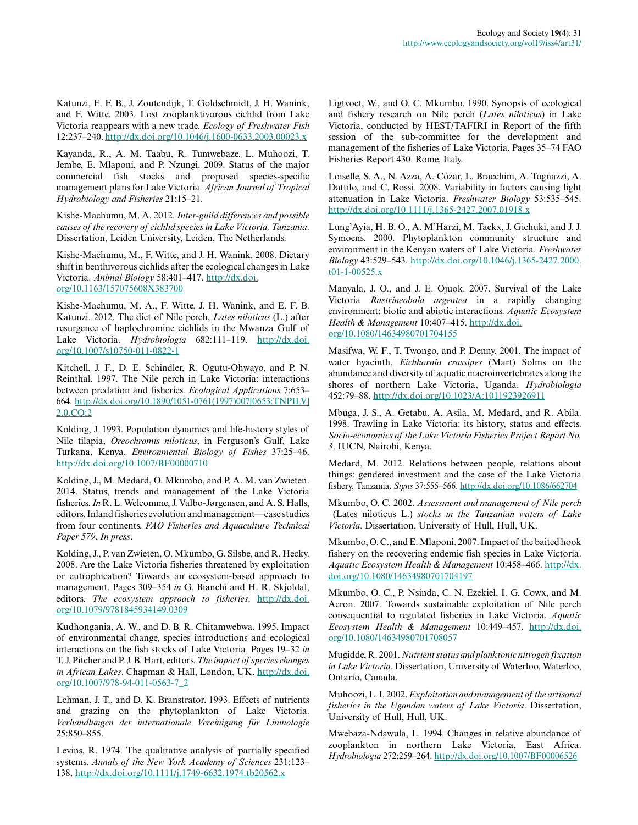Katunzi, E. F. B., J. Zoutendijk, T. Goldschmidt, J. H. Wanink, and F. Witte. 2003. Lost zooplanktivorous cichlid from Lake Victoria reappears with a new trade. *Ecology of Freshwater Fish* 12:237–240.<http://dx.doi.org/10.1046/j.1600-0633.2003.00023.x>

Kayanda, R., A. M. Taabu, R. Tumwebaze, L. Muhoozi, T. Jembe, E. Mlaponi, and P. Nzungi. 2009. Status of the major commercial fish stocks and proposed species-specific management plans for Lake Victoria. *African Journal of Tropical Hydrobiology and Fisheries* 21:15–21.

Kishe-Machumu, M. A. 2012. *Inter-guild differences and possible causes of the recovery of cichlid species in Lake Victoria, Tanzania*. Dissertation, Leiden University, Leiden, The Netherlands.

Kishe-Machumu, M., F. Witte, and J. H. Wanink. 2008. Dietary shift in benthivorous cichlids after the ecological changes in Lake Victoria. *Animal Biology* 58:401–417. [http://dx.doi.](http://dx.doi.org/10.1163/157075608X383700) [org/10.1163/157075608X383700](http://dx.doi.org/10.1163/157075608X383700) 

Kishe-Machumu, M. A., F. Witte, J. H. Wanink, and E. F. B. Katunzi. 2012. The diet of Nile perch, *Lates niloticus* (L.) after resurgence of haplochromine cichlids in the Mwanza Gulf of Lake Victoria. *Hydrobiologia* 682:111–119. [http://dx.doi.](http://dx.doi.org/10.1007/s10750-011-0822-1) [org/10.1007/s10750-011-0822-1](http://dx.doi.org/10.1007/s10750-011-0822-1)

Kitchell, J. F., D. E. Schindler, R. Ogutu-Ohwayo, and P. N. Reinthal. 1997. The Nile perch in Lake Victoria: interactions between predation and fisheries. *Ecological Applications* 7:653– 664. [http://dx.doi.org/10.1890/1051-0761\(1997\)007\[0653:TNPILV\]](http://dx.doi.org/10.1890/1051-0761(1997)007[0653:TNPILV]2.0.CO;2) [2.0.CO;2](http://dx.doi.org/10.1890/1051-0761(1997)007[0653:TNPILV]2.0.CO;2)

Kolding, J. 1993. Population dynamics and life-history styles of Nile tilapia, *Oreochromis niloticus*, in Ferguson's Gulf, Lake Turkana, Kenya. *Environmental Biology of Fishes* 37:25–46. <http://dx.doi.org/10.1007/BF00000710>

Kolding, J., M. Medard, O. Mkumbo, and P. A. M. van Zwieten. 2014. Status, trends and management of the Lake Victoria fisheries. *In* R. L. Welcomme, J. Valbo-Jørgensen, and A. S. Halls, editors. Inland fisheries evolution and management—case studies from four continents. *FAO Fisheries and Aquaculture Technical Paper 579*. *In press*.

Kolding, J., P. van Zwieten, O. Mkumbo, G. Silsbe, and R. Hecky. 2008. Are the Lake Victoria fisheries threatened by exploitation or eutrophication? Towards an ecosystem-based approach to management. Pages 309–354 *in* G. Bianchi and H. R. Skjoldal, editors. *The ecosystem approach to fisheries*. [http://dx.doi.](http://dx.doi.org/10.1079/9781845934149.0309) [org/10.1079/9781845934149.0309](http://dx.doi.org/10.1079/9781845934149.0309)

Kudhongania, A. W., and D. B. R. Chitamwebwa. 1995. Impact of environmental change, species introductions and ecological interactions on the fish stocks of Lake Victoria. Pages 19–32 *in* T. J. Pitcher and P. J. B. Hart, editors. *The impact of species changes in African Lakes*. Chapman & Hall, London, UK. [http://dx.doi.](http://dx.doi.org/10.1007/978-94-011-0563-7_2) [org/10.1007/978-94-011-0563-7\\_2](http://dx.doi.org/10.1007/978-94-011-0563-7_2) 

Lehman, J. T., and D. K. Branstrator. 1993. Effects of nutrients and grazing on the phytoplankton of Lake Victoria. *Verhandlungen der internationale Vereinigung für Limnologie* 25:850–855.

Levins, R. 1974. The qualitative analysis of partially specified systems. *Annals of the New York Academy of Sciences* 231:123– 138.<http://dx.doi.org/10.1111/j.1749-6632.1974.tb20562.x>

Ligtvoet, W., and O. C. Mkumbo. 1990. Synopsis of ecological and fishery research on Nile perch (*Lates niloticus*) in Lake Victoria, conducted by HEST/TAFIRI in Report of the fifth session of the sub-committee for the development and management of the fisheries of Lake Victoria. Pages 35–74 FAO Fisheries Report 430. Rome, Italy.

Loiselle, S. A., N. Azza, A. Cózar, L. Bracchini, A. Tognazzi, A. Dattilo, and C. Rossi. 2008. Variability in factors causing light attenuation in Lake Victoria. *Freshwater Biology* 53:535–545. <http://dx.doi.org/10.1111/j.1365-2427.2007.01918.x>

Lung'Ayia, H. B. O., A. M'Harzi, M. Tackx, J. Gichuki, and J. J. Symoens. 2000. Phytoplankton community structure and environment in the Kenyan waters of Lake Victoria. *Freshwater Biology* 43:529–543. [http://dx.doi.org/10.1046/j.1365-2427.2000.](http://dx.doi.org/10.1046/j.1365-2427.2000.t01-1-00525.x) [t01-1-00525.x](http://dx.doi.org/10.1046/j.1365-2427.2000.t01-1-00525.x) 

Manyala, J. O., and J. E. Ojuok. 2007. Survival of the Lake Victoria *Rastrineobola argentea* in a rapidly changing environment: biotic and abiotic interactions. *Aquatic Ecosystem Health & Management* 10:407–415. [http://dx.doi.](http://dx.doi.org/10.1080/14634980701704155) [org/10.1080/14634980701704155](http://dx.doi.org/10.1080/14634980701704155) 

Masifwa, W. F., T. Twongo, and P. Denny. 2001. The impact of water hyacinth, *Eichhornia crassipes* (Mart) Solms on the abundance and diversity of aquatic macroinvertebrates along the shores of northern Lake Victoria, Uganda. *Hydrobiologia* 452:79–88.<http://dx.doi.org/10.1023/A:1011923926911>

Mbuga, J. S., A. Getabu, A. Asila, M. Medard, and R. Abila. 1998. Trawling in Lake Victoria: its history, status and effects. *Socio-economics of the Lake Victoria Fisheries Project Report No. 3*. IUCN, Nairobi, Kenya.

Medard, M. 2012. Relations between people, relations about things: gendered investment and the case of the Lake Victoria fishery, Tanzania. *Signs* 37:555–566. [http://dx.doi.org/10.1086/662704](ttp://dx.doi.org/10.1086/662704) 

Mkumbo, O. C. 2002. *Assessment and management of Nile perch* (Lates niloticus L.) *stocks in the Tanzanian waters of Lake Victoria*. Dissertation, University of Hull, Hull, UK.

Mkumbo, O. C., and E. Mlaponi. 2007. Impact of the baited hook fishery on the recovering endemic fish species in Lake Victoria. *Aquatic Ecosystem Health & Management* 10:458–466. [http://dx.](http://dx.doi.org/10.1080/14634980701704197) [doi.org/10.1080/14634980701704197](http://dx.doi.org/10.1080/14634980701704197) 

Mkumbo, O. C., P. Nsinda, C. N. Ezekiel, I. G. Cowx, and M. Aeron. 2007. Towards sustainable exploitation of Nile perch consequential to regulated fisheries in Lake Victoria. *Aquatic Ecosystem Health & Management* 10:449–457. [http://dx.doi.](http://dx.doi.org/10.1080/14634980701708057) [org/10.1080/14634980701708057](http://dx.doi.org/10.1080/14634980701708057) 

Mugidde, R. 2001. *Nutrient status and planktonic nitrogen fixation in Lake Victoria*. Dissertation, University of Waterloo, Waterloo, Ontario, Canada.

Muhoozi, L. I. 2002. *Exploitation and management of the artisanal fisheries in the Ugandan waters of Lake Victoria*. Dissertation, University of Hull, Hull, UK.

Mwebaza-Ndawula, L. 1994. Changes in relative abundance of zooplankton in northern Lake Victoria, East Africa. *Hydrobiologia* 272:259–264. <http://dx.doi.org/10.1007/BF00006526>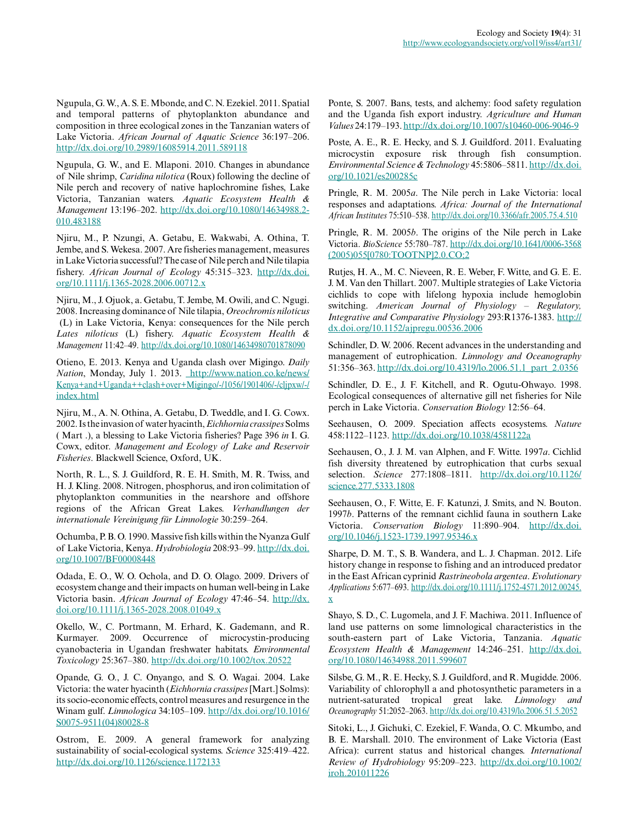Ngupula, G. W., A. S. E. Mbonde, and C. N. Ezekiel. 2011. Spatial and temporal patterns of phytoplankton abundance and composition in three ecological zones in the Tanzanian waters of Lake Victoria. *African Journal of Aquatic Science* 36:197–206. <http://dx.doi.org/10.2989/16085914.2011.589118>

Ngupula, G. W., and E. Mlaponi. 2010. Changes in abundance of Nile shrimp, *Caridina nilotica* (Roux) following the decline of Nile perch and recovery of native haplochromine fishes, Lake Victoria, Tanzanian waters. *Aquatic Ecosystem Health & Management* 13:196–202. [http://dx.doi.org/10.1080/14634988.2](http://dx.doi.org/10.1080/14634988.2010.483188) [010.483188](http://dx.doi.org/10.1080/14634988.2010.483188) 

Njiru, M., P. Nzungi, A. Getabu, E. Wakwabi, A. Othina, T. Jembe, and S. Wekesa. 2007. Are fisheries management, measures in Lake Victoria successful? The case of Nile perch and Nile tilapia fishery. *African Journal of Ecology* 45:315–323. [http://dx.doi.](http://dx.doi.org/10.1111/j.1365-2028.2006.00712.x) [org/10.1111/j.1365-2028.2006.00712.x](http://dx.doi.org/10.1111/j.1365-2028.2006.00712.x)

Njiru, M., J. Ojuok, a. Getabu, T. Jembe, M. Owili, and C. Ngugi. 2008. Increasing dominance of Nile tilapia, *Oreochromis niloticus* (L) in Lake Victoria, Kenya: consequences for the Nile perch *Lates niloticus* (L) fishery. *Aquatic Ecosystem Health & Management* 11:42–49.<http://dx.doi.org/10.1080/14634980701878090>

Otieno, E. 2013. Kenya and Uganda clash over Migingo. *Daily Nation*, Monday, July 1. 2013. [http://www.nation.co.ke/news/](http://www.nation.co.ke/news/Kenya+and+Uganda++clash+over+Migingo/-/1056/1901406/-/cljpxw/-/index.html) [Kenya+and+Uganda++clash+over+Migingo/-/1056/1901406/-/cljpxw/-/](http://www.nation.co.ke/news/Kenya+and+Uganda++clash+over+Migingo/-/1056/1901406/-/cljpxw/-/index.html) [index.html](http://www.nation.co.ke/news/Kenya+and+Uganda++clash+over+Migingo/-/1056/1901406/-/cljpxw/-/index.html) 

Njiru, M., A. N. Othina, A. Getabu, D. Tweddle, and I. G. Cowx. 2002. Is the invasion of water hyacinth, *Eichhornia crassipes* Solms ( Mart .), a blessing to Lake Victoria fisheries? Page 396 *in* I. G. Cowx, editor. *Management and Ecology of Lake and Reservoir Fisheries*. Blackwell Science, Oxford, UK.

North, R. L., S. J. Guildford, R. E. H. Smith, M. R. Twiss, and H. J. Kling. 2008. Nitrogen, phosphorus, and iron colimitation of phytoplankton communities in the nearshore and offshore regions of the African Great Lakes. *Verhandlungen der internationale Vereinigung für Limnologie* 30:259–264.

Ochumba, P. B. O. 1990. Massive fish kills within the Nyanza Gulf of Lake Victoria, Kenya. *Hydrobiologia* 208:93–99. [http://dx.doi.](http://dx.doi.org/10.1007/BF00008448) [org/10.1007/BF00008448](http://dx.doi.org/10.1007/BF00008448)

Odada, E. O., W. O. Ochola, and D. O. Olago. 2009. Drivers of ecosystem change and their impacts on human well-being in Lake Victoria basin. *African Journal of Ecology* 47:46–54. [http://dx.](http://dx.doi.org/10.1111/j.1365-2028.2008.01049.x) [doi.org/10.1111/j.1365-2028.2008.01049.x](http://dx.doi.org/10.1111/j.1365-2028.2008.01049.x)

Okello, W., C. Portmann, M. Erhard, K. Gademann, and R. Kurmayer. 2009. Occurrence of microcystin-producing cyanobacteria in Ugandan freshwater habitats. *Environmental Toxicology* 25:367–380.<http://dx.doi.org/10.1002/tox.20522>

Opande, G. O., J. C. Onyango, and S. O. Wagai. 2004. Lake Victoria: the water hyacinth (*Eichhornia crassipes* [Mart.] Solms): its socio-economic effects, control measures and resurgence in the Winam gulf. *Limnologica* 34:105–109. [http://dx.doi.org/10.1016/](http://dx.doi.org/10.1016/S0075-9511(04)80028-8) [S0075-9511\(04\)80028-8](http://dx.doi.org/10.1016/S0075-9511(04)80028-8) 

Ostrom, E. 2009. A general framework for analyzing sustainability of social-ecological systems. *Science* 325:419–422. <http://dx.doi.org/10.1126/science.1172133>

Ponte, S. 2007. Bans, tests, and alchemy: food safety regulation and the Uganda fish export industry. *Agriculture and Human Values* 24:179–193.<http://dx.doi.org/10.1007/s10460-006-9046-9>

Poste, A. E., R. E. Hecky, and S. J. Guildford. 2011. Evaluating microcystin exposure risk through fish consumption. *Environmental Science & Technology* 45:5806–5811. [http://dx.doi.](http://dx.doi.org/10.1021/es200285c) [org/10.1021/es200285c](http://dx.doi.org/10.1021/es200285c) 

Pringle, R. M. 2005*a*. The Nile perch in Lake Victoria: local responses and adaptations. *Africa: Journal of the International African Institutes* 75:510–538.<http://dx.doi.org/10.3366/afr.2005.75.4.510>

Pringle, R. M. 2005*b*. The origins of the Nile perch in Lake Victoria. *BioScience* 55:780–787. [http://dx.doi.org/10.1641/0006-3568](http://dx.doi.org/10.1641/0006-3568(2005)055[0780:TOOTNP]2.0.CO;2) [\(2005\)055\[0780:TOOTNP\]2.0.CO;2](http://dx.doi.org/10.1641/0006-3568(2005)055[0780:TOOTNP]2.0.CO;2) 

Rutjes, H. A., M. C. Nieveen, R. E. Weber, F. Witte, and G. E. E. J. M. Van den Thillart. 2007. Multiple strategies of Lake Victoria cichlids to cope with lifelong hypoxia include hemoglobin switching. *American Journal of Physiology – Regulatory, Integrative and Comparative Physiology* 293:R1376-1383. [http://](http://dx.doi.org/10.1152/ajpregu.00536.2006) [dx.doi.org/10.1152/ajpregu.00536.2006](http://dx.doi.org/10.1152/ajpregu.00536.2006) 

Schindler, D. W. 2006. Recent advances in the understanding and management of eutrophication. *Limnology and Oceanography* 51:356–363. [http://dx.doi.org/10.4319/lo.2006.51.1\\_part\\_2.0356](http://dx.doi.org/10.4319/lo.2006.51.1_part_2.0356) 

Schindler, D. E., J. F. Kitchell, and R. Ogutu-Ohwayo. 1998. Ecological consequences of alternative gill net fisheries for Nile perch in Lake Victoria. *Conservation Biology* 12:56–64.

Seehausen, O. 2009. Speciation affects ecosystems. *Nature* 458:1122–1123.<http://dx.doi.org/10.1038/4581122a>

Seehausen, O., J. J. M. van Alphen, and F. Witte. 1997*a*. Cichlid fish diversity threatened by eutrophication that curbs sexual selection. *Science* 277:1808–1811. [http://dx.doi.org/10.1126/](http://dx.doi.org/10.1126/science.277.5333.1808) [science.277.5333.1808](http://dx.doi.org/10.1126/science.277.5333.1808) 

Seehausen, O., F. Witte, E. F. Katunzi, J. Smits, and N. Bouton. 1997*b*. Patterns of the remnant cichlid fauna in southern Lake Victoria. *Conservation Biology* 11:890–904. [http://dx.doi.](http://dx.doi.org/10.1046/j.1523-1739.1997.95346.x) [org/10.1046/j.1523-1739.1997.95346.x](http://dx.doi.org/10.1046/j.1523-1739.1997.95346.x)

Sharpe, D. M. T., S. B. Wandera, and L. J. Chapman. 2012. Life history change in response to fishing and an introduced predator in the East African cyprinid *Rastrineobola argentea*. *Evolutionary Applications* 5:677–693. [http://dx.doi.org/10.1111/j.1752-4571.2012.00245.](http://dx.doi.org/10.1111/j.1752-4571.2012.00245.x) [x](http://dx.doi.org/10.1111/j.1752-4571.2012.00245.x) 

Shayo, S. D., C. Lugomela, and J. F. Machiwa. 2011. Influence of land use patterns on some limnological characteristics in the south-eastern part of Lake Victoria, Tanzania. *Aquatic Ecosystem Health & Management* 14:246–251. [http://dx.doi.](http://dx.doi.org/10.1080/14634988.2011.599607) [org/10.1080/14634988.2011.599607](http://dx.doi.org/10.1080/14634988.2011.599607)

Silsbe, G. M., R. E. Hecky, S. J. Guildford, and R. Mugidde. 2006. Variability of chlorophyll a and photosynthetic parameters in a nutrient-saturated tropical great lake. *Limnology and Oceanography* 51:2052–2063.<http://dx.doi.org/10.4319/lo.2006.51.5.2052>

Sitoki, L., J. Gichuki, C. Ezekiel, F. Wanda, O. C. Mkumbo, and B. E. Marshall. 2010. The environment of Lake Victoria (East Africa): current status and historical changes. *International Review of Hydrobiology* 95:209–223. [http://dx.doi.org/10.1002/](http://dx.doi.org/10.1002/iroh.201011226) [iroh.201011226](http://dx.doi.org/10.1002/iroh.201011226)